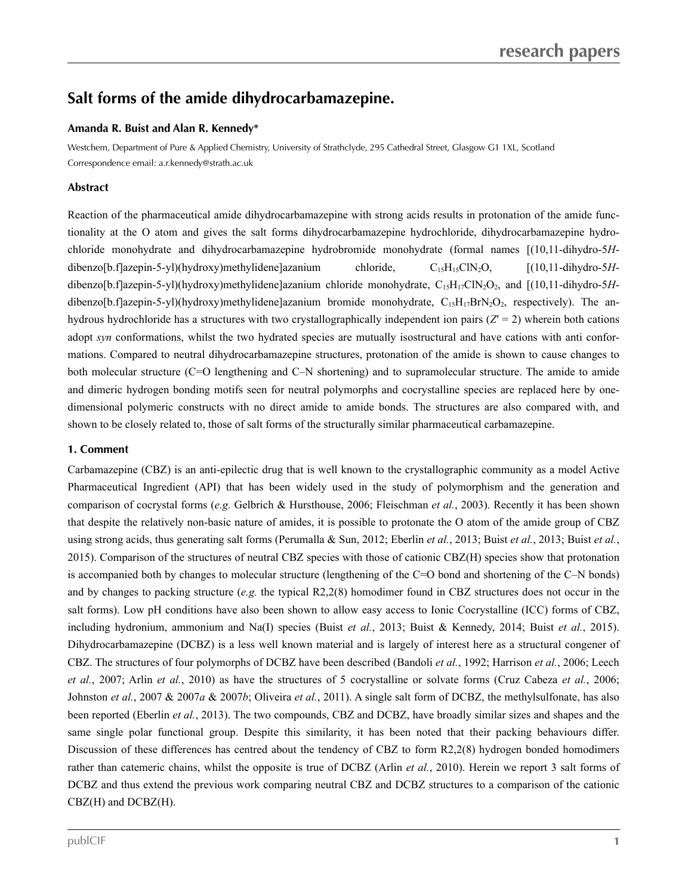# **Salt** forms of the amide dihydrocarbamazepine.

## **Amanda R. Buist and Alan R. Kennedy\***

Westchem, Department of Pure & Applied Chemistry, University of Strathclyde, 295 Cathedral Street, Glasgow G1 1XL, Scotland Correspondence email: a.r.kennedy@strath.ac.uk

## **Abstract**

Reaction of the pharmaceutical amide dihydrocarbamazepine with strong acids results in protonation of the amide functionality at the O atom and gives the salt forms dihydrocarbamazepine hydrochloride, dihydrocarbamazepine hydro chloride monohydrate and dihydrocarbamazepine hydrobromide monohydrate (formal names [(10,11-dihydro-5*H* dibenzo[b.f]azepin-5-yl)(hydroxy)methylidene]azanium chloride, C15H15ClN2O, [(10,11-dihydro-5*H* dibenzo[b.f]azepin-5-yl)(hydroxy)methylidene]azanium chloride monohydrate, C<sub>15</sub>H<sub>17</sub>ClN<sub>2</sub>O<sub>2</sub>, and [(10,11-dihydro-5*H*dibenzo[b.f]azepin-5-yl)(hydroxy)methylidene]azanium bromide monohydrate,  $C_{15}H_{17}BrN_2O_2$ , respectively). The anhydrous hydrochloride has a structures with two crystallographically independent ion pairs  $(Z<sup>2</sup>)$  wherein both cations adopt *syn* conformations, whilst the two hydrated species are mutually isostructural and have cations with anti conformations. Compared to neutral dihydrocarbamazepine structures, protonation of the amide is shown to cause changes to both molecular structure (C=O lengthening and C–N shortening) and to supramolecular structure. The amide to amide and dimeric hydrogen bonding motifs seen for neutral polymorphs and cocrystalline species are replaced here by one dimensional polymeric constructs with no direct amide to amide bonds.The structures are also compared with, and shown to be closely related to, those of salt forms of the structurally similar pharmaceutical carbamazepine.

#### **1. Comment**

Carbamazepine (CBZ) is an anti-epilectic drug that is well known to the crystallographic community as a model Active Pharmaceutical Ingredient (API) that has been widely used in the study of polymorphism and the generation and comparison of cocrystal forms (*e.g.*Gelbrich & Hursthouse, 2006; Fleischman *et al.*, 2003). Recently it has been shown that despite the relatively non-basic nature of amides, it is possible to protonate the O atom of the amide group of CBZ using strong acids, thus generating salt forms (Perumalla & Sun, 2012; Eberlin *et al.*, 2013; Buist *et al.*, 2013; Buist *et al.*, 2015). Comparison of the structures of neutral CBZ species with those of cationic CBZ(H) species show that protonation is accompanied both by changes to molecular structure (lengthening of the C=O bond and shortening of the C–N bonds) and by changes to packing structure (*e.g.* the typical R2,2(8) homodimer found in CBZ structures does not occur in the salt forms). Low pH conditions have also been shown to allow easy access to Ionic Cocrystalline (ICC) forms of CBZ, including hydronium, ammonium and Na(I) species (Buist et al., 2013; Buist & Kennedy, 2014; Buist et al., 2015). Dihydrocarbamazepine (DCBZ) is a less well known material and is largely of interest here as a structural congener of CBZ. The structures of four polymorphs of DCBZ have been described (Bandoli *et al.*, 1992; Harrison *et al.*, 2006; Leech *et al.*, 2007; Arlin *et al.*, 2010) as have the structures of 5 cocrystalline or solvate forms (Cruz Cabeza *et al.*, 2006; Johnston *et al.*, 2007 & 2007*a* & 2007*b*; Oliveira *et al.*, 2011). A single salt form of DCBZ, the methylsulfonate, has also been reported (Eberlin *et al.*, 2013). The two compounds, CBZ and DCBZ, have broadly similar sizes and shapes and the same single polar functional group. Despite this similarity, it has been noted that their packing behaviours differ. Discussion of these differences has centred about the tendency of CBZ to form R2,2(8) hydrogen bonded homodimers rather than catemeric chains, whilst the opposite is true of DCBZ (Arlin *et al.*, 2010). Herein we report 3 salt forms of DCBZ and thus extend the previous work comparing neutral CBZ and DCBZ structures to a comparison of the cationic CBZ(H) and DCBZ(H).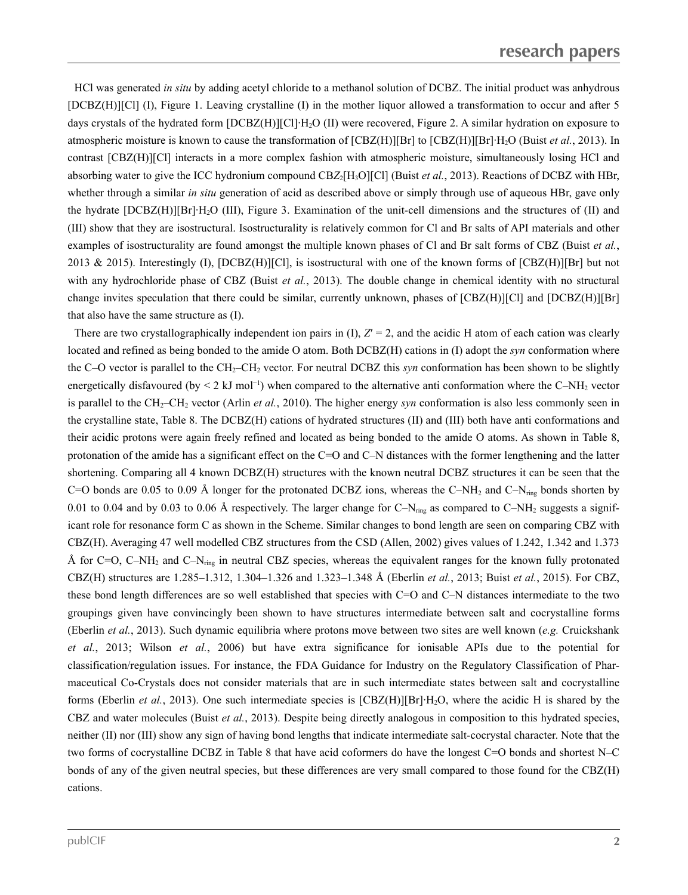HCl was generated *in situ* by adding acetyl chloride to a methanol solution of DCBZ. The initial product was anhydrous [DCBZ(H)][Cl] (I), Figure 1. Leaving crystalline (I) in the mother liquor allowed a transformation to occur and after 5 days crystals of the hydrated form [DCBZ(H)][Cl]·H<sub>2</sub>O (II) were recovered, Figure 2. A similar hydration on exposure to atmospheric moisture is known to cause the transformation of [CBZ(H)][Br] to [CBZ(H)][Br]·H2O (Buist *et al.*, 2013). In contrast [CBZ(H)][Cl] interacts in a more complex fashion with atmospheric moisture, simultaneously losing HCl and absorbing water to give the ICC hydronium compound CBZ<sub>2</sub>[H<sub>3</sub>O][Cl] (Buist *et al.*, 2013). Reactions of DCBZ with HBr, whether through a similar *in situ* generation of acid as described above or simply through use of aqueous HBr, gave only the hydrate [DCBZ(H)][Br]·H2O (III), Figure 3. Examination of the unit-cell dimensions and the structures of (II) and (III) show that they are isostructural. Isostructurality is relatively common for Cl and Br salts of API materials and other examples of isostructurality are found amongst the multiple known phases of Cl and Br salt forms of CBZ (Buist *et al.*, 2013 & 2015). Interestingly (I),  $[DEBZ(H)][C]$ , is isostructural with one of the known forms of  $[CBZ(H)][Br]$  but not with any hydrochloride phase of CBZ (Buist *et al.*,2013). The double change in chemical identity with no structural change invites speculation that there could be similar, currently unknown, phases of [CBZ(H)][Cl] and [DCBZ(H)][Br] that also have the same structure as (I).

There are two crystallographically independent ion pairs in  $(I)$ ,  $Z' = 2$ , and the acidic H atom of each cation was clearly located and refined as being bonded to the amide O atom. Both DCBZ(H) cations in (I) adopt the *syn* conformation where the C–O vector is parallel to the CH<sub>2</sub>–CH<sub>2</sub> vector. For neutral DCBZ this *syn* conformation has been shown to be slightly energetically disfavoured (by  $\leq 2$  kJ mol<sup>-1</sup>) when compared to the alternative anti conformation where the C–NH<sub>2</sub> vector is parallel to the CH<sub>2</sub>–CH<sub>2</sub> vector (Arlin *et al.*, 2010). The higher energy *syn* conformation is also less commonly seen in the crystalline state, Table 8. The DCBZ(H) cations of hydrated structures (II) and (III) both have anti conformations and their acidic protons were again freely refined and located as being bonded to the amide O atoms. As shown in Table 8, protonation of the amide has a significant effect on the C=O and C–N distances with the former lengthening and the latter shortening. Comparing all 4 known DCBZ(H) structures with the known neutral DCBZ structures it can be seen that the C=O bonds are 0.05 to 0.09 Å longer for the protonated DCBZ ions, whereas the C–NH<sub>2</sub> and C–N<sub>ring</sub> bonds shorten by 0.01 to 0.04 and by 0.03 to 0.06 Å respectively. The larger change for  $C-N_{\text{ring}}$  as compared to  $C-NH_2$  suggests a significant role for resonance form C as shown in the Scheme. Similar changes to bond length are seen on comparing CBZ with CBZ(H). Averaging 47 well modelled CBZ structures from the CSD (Allen, 2002) gives values of 1.242, 1.342 and 1.373 Å for C=O, C–NH<sub>2</sub> and C–N<sub>ring</sub> in neutral CBZ species, whereas the equivalent ranges for the known fully protonated CBZ(H) structures are 1.285–1.312, 1.304–1.326 and 1.323–1.348 Å (Eberlin *et al.*, 2013; Buist *et al.*, 2015). For CBZ, these bond length differences are so well established that species with C=O and C–N distances intermediate to the two groupings given have convincingly been shown to have structures intermediate between salt and cocrystalline forms (Eberlin *et al.*, 2013). Such dynamic equilibria where protons move between two sites are well known (*e.g.* Cruickshank *et al.*, 2013; Wilson *et al.*, 2006) but have extra significance for ionisable APIs due to the potential for classification/regulation issues. For instance, the FDA Guidance for Industry on the Regulatory Classification of Phar maceutical Co-Crystals does not consider materials that are in such intermediate states between salt and cocrystalline forms (Eberlin *et al.*, 2013). One such intermediate species is [CBZ(H)][Br]·H2O, where the acidic H is shared by the CBZ and water molecules (Buist *et al.*, 2013). Despite being directly analogous in composition to this hydrated species, neither (II) nor (III) show any sign of having bond lengths that indicate intermediate salt-cocrystal character. Note that the two forms of cocrystalline DCBZ in Table 8 that have acid coformers do have the longest C=O bonds and shortest N–C bonds of any of the given neutral species, but these differences are very small compared to those found for the CBZ(H) cations.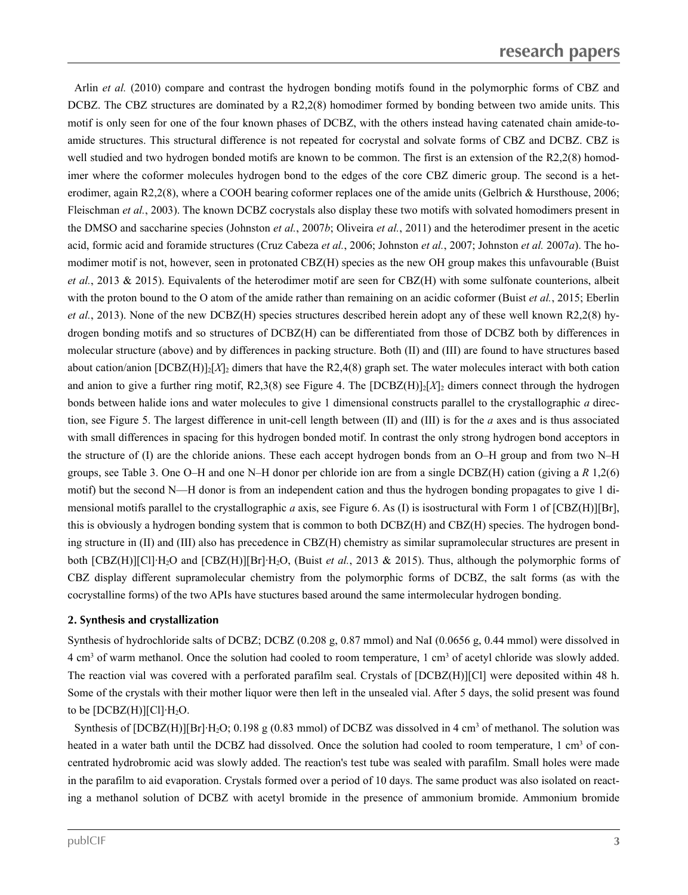Arlin *et al.* (2010) compare and contrast the hydrogen bonding motifs found in the polymorphic forms of CBZ and DCBZ. The CBZ structures are dominated by a R2,2(8) homodimer formed by bonding between two amide units. This motif is only seen for one of the four known phases of DCBZ, with the others instead having catenated chain amide-to amide structures. This structural difference is not repeated for cocrystal and solvate forms of CBZ and DCBZ. CBZ is well studied and two hydrogen bonded motifs are known to be common. The first is an extension of the R2,2(8) homodimer where the coformer molecules hydrogen bond to the edges of the core CBZ dimeric group. The second is a het erodimer, again R2,2(8), where a COOH bearing coformer replaces one of the amide units (Gelbrich & Hursthouse, 2006; Fleischman *et al.*, 2003). The known DCBZ cocrystals also display these two motifs with solvated homodimers present in the DMSO and saccharine species (Johnston *et al.*, 2007*b*; Oliveira *et al.*, 2011) and the heterodimer present in the acetic acid, formic acid and foramide structures (Cruz Cabeza *et al.*, 2006; Johnston *et al.*, 2007; Johnston *et al.* 2007*a*). The ho modimer motif is not, however, seen in protonated CBZ(H) species as the new OH group makes this unfavourable (Buist *et al.*, 2013 & 2015). Equivalents of the heterodimer motif are seen for CBZ(H) with some sulfonate counterions, albeit with the proton bound to the O atom of the amide rather than remaining on an acidic coformer (Buist *et al.*, 2015; Eberlin *et al.*, 2013). None of the new DCBZ(H) species structures described herein adopt any of these well known R2,2(8) hy drogen bonding motifs and so structures of DCBZ(H) can be differentiated from those of DCBZ both by differences in molecular structure (above) and by differences in packing structure. Both (II) and (III) are found to have structures based about cation/anion  $[DCBZ(H)]_2[X]_2$  dimers that have the R2,4(8) graph set. The water molecules interact with both cation and anion to give a further ring motif, R2,3(8) see Figure 4. The  $[DCBZ(H)]_2[X]_2$  dimers connect through the hydrogen bonds between halide ions and water molecules to give 1 dimensional constructs parallel to the crystallographic *a* direction, see Figure 5. The largest difference in unit-cell length between (II) and (III) is for the *a* axes and is thus associated with small differences in spacing for this hydrogen bonded motif. In contrast the only strong hydrogen bond acceptors in the structure of (I) are the chloride anions. These each accept hydrogen bonds from an O–H group and from two N–H groups, see Table 3. One O–H and one N–H donor per chloride ion are from a single DCBZ(H) cation (giving a *R* 1,2(6) motif) but the second N—H donor is from an independent cation and thus the hydrogen bonding propagates to give 1 di mensional motifs parallel to the crystallographic *a* axis, see Figure 6. As (I) is isostructural with Form 1 of [CBZ(H)][Br], this is obviously a hydrogen bonding system that is common to both DCBZ(H) and CBZ(H) species. The hydrogen bonding structure in (II) and (III) also has precedence in CBZ(H) chemistry as similar supramolecular structures are present in both [CBZ(H)][Cl]·H2O and [CBZ(H)][Br]·H2O, (Buist *et al.*, 2013 & 2015). Thus, although the polymorphic forms of CBZ display different supramolecular chemistry from the polymorphic forms of DCBZ, the salt forms (as with the cocrystalline forms) of the two APIs have stuctures based around the same intermolecular hydrogen bonding.

## **2. Synthesis and crystallization**

Synthesis of hydrochloride salts of DCBZ; DCBZ (0.208 g, 0.87 mmol) and NaI (0.0656 g, 0.44 mmol) were dissolved in 4 cm<sup>3</sup> of warm methanol. Once the solution had cooled to room temperature, 1 cm<sup>3</sup> of acetyl chloride was slowly added. The reaction vial was covered with a perforated parafilm seal. Crystals of [DCBZ(H)][Cl] were deposited within 48 h. Some of the crystals with their mother liquor were then left in the unsealed vial. After 5 days, the solid present was found to be  $[DCBZ(H)][C1]H_2O$ .

Synthesis of  $[DCBZ(H)][Br]H_2O; 0.198$  g (0.83 mmol) of DCBZ was dissolved in 4 cm<sup>3</sup> of methanol. The solution was heated in a water bath until the DCBZ had dissolved. Once the solution had cooled to room temperature, 1 cm<sup>3</sup> of concentrated hydrobromic acid was slowly added. The reaction's test tube was sealed with parafilm. Small holes were made in the parafilm to aid evaporation. Crystals formed over a period of 10 days. The same product was also isolated on reacting amethanol solution of DCBZ with acetyl bromide in the presence of ammonium bromide. Ammonium bromide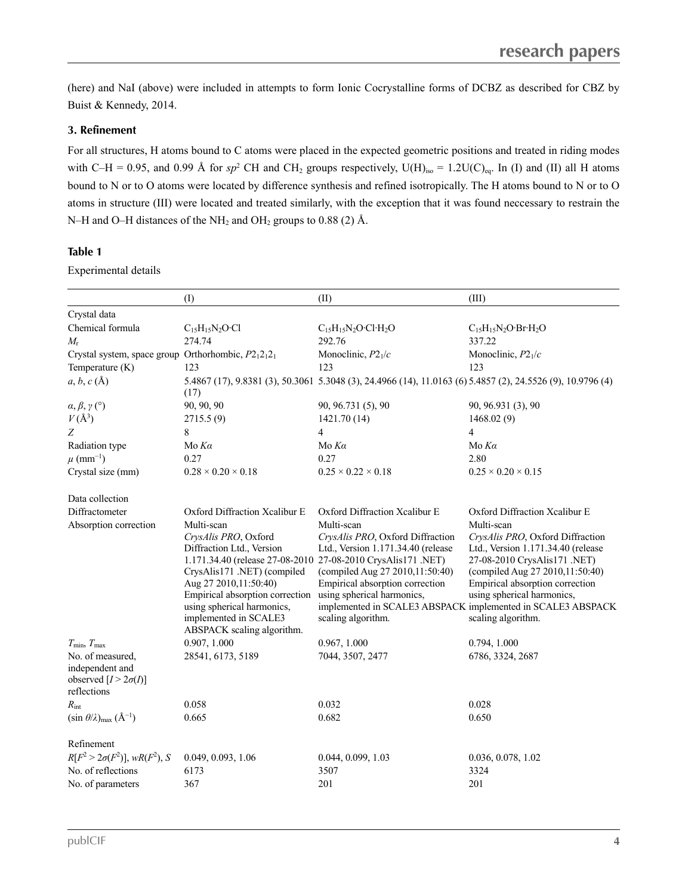(here) and NaI (above) were included in attempts to form Ionic Cocrystalline forms of DCBZ as described for CBZ by Buist & Kennedy, 2014.

## **3. Refinement**

For all structures, H atoms bound to C atoms were placed in the expected geometric positions and treated in riding modes with C–H = 0.95, and 0.99 Å for sp<sup>2</sup> CH and CH<sub>2</sub> groups respectively, U(H)<sub>iso</sub> = 1.2U(C)<sub>eq</sub>. In (I) and (II) all H atoms bound to N or to O atoms were located by difference synthesis and refined isotropically. The H atoms bound to N or to O atoms in structure (III) were located and treated similarly, with the exception that it was found neccessary to restrain the N–H and O–H distances of the NH<sub>2</sub> and OH<sub>2</sub> groups to 0.88 (2) Å.

## **Table 1**

Experimental details

|                                                                                   | (1)                                                                                                                                                                                                                                              | (II)                                                                                                                                                                                                                                                                            | (III)                                                                                                                                                                                                                                                                                                          |
|-----------------------------------------------------------------------------------|--------------------------------------------------------------------------------------------------------------------------------------------------------------------------------------------------------------------------------------------------|---------------------------------------------------------------------------------------------------------------------------------------------------------------------------------------------------------------------------------------------------------------------------------|----------------------------------------------------------------------------------------------------------------------------------------------------------------------------------------------------------------------------------------------------------------------------------------------------------------|
| Crystal data                                                                      |                                                                                                                                                                                                                                                  |                                                                                                                                                                                                                                                                                 |                                                                                                                                                                                                                                                                                                                |
| Chemical formula                                                                  | $C_{15}H_{15}N_2O$ ·Cl                                                                                                                                                                                                                           | $C_{15}H_{15}N_2O \cdot Cl \cdot H_2O$                                                                                                                                                                                                                                          | $C_{15}H_{15}N_2O \cdot Br \cdot H_2O$                                                                                                                                                                                                                                                                         |
| $M_{\rm r}$                                                                       | 274.74                                                                                                                                                                                                                                           | 292.76                                                                                                                                                                                                                                                                          | 337.22                                                                                                                                                                                                                                                                                                         |
| Crystal system, space group Orthorhombic, P212121                                 |                                                                                                                                                                                                                                                  | Monoclinic, $P2_1/c$                                                                                                                                                                                                                                                            | Monoclinic, $P2_1/c$                                                                                                                                                                                                                                                                                           |
| Temperature (K)                                                                   | 123                                                                                                                                                                                                                                              | 123                                                                                                                                                                                                                                                                             | 123                                                                                                                                                                                                                                                                                                            |
| $a, b, c (\AA)$                                                                   | (17)                                                                                                                                                                                                                                             | 5.4867 (17), 9.8381 (3), 50.3061 5.3048 (3), 24.4966 (14), 11.0163 (6) 5.4857 (2), 24.5526 (9), 10.9796 (4)                                                                                                                                                                     |                                                                                                                                                                                                                                                                                                                |
| $\alpha, \beta, \gamma$ (°)                                                       | 90, 90, 90                                                                                                                                                                                                                                       | 90, 96.731 (5), 90                                                                                                                                                                                                                                                              | 90, 96.931 (3), 90                                                                                                                                                                                                                                                                                             |
| $V(\AA^3)$                                                                        | 2715.5(9)                                                                                                                                                                                                                                        | 1421.70 (14)                                                                                                                                                                                                                                                                    | 1468.02(9)                                                                                                                                                                                                                                                                                                     |
| Ζ                                                                                 | 8                                                                                                                                                                                                                                                | $\overline{4}$                                                                                                                                                                                                                                                                  | 4                                                                                                                                                                                                                                                                                                              |
| Radiation type                                                                    | Mo $K\alpha$                                                                                                                                                                                                                                     | Mo $Ka$                                                                                                                                                                                                                                                                         | Mo $Ka$                                                                                                                                                                                                                                                                                                        |
| $\mu$ (mm <sup>-1</sup> )                                                         | 0.27                                                                                                                                                                                                                                             | 0.27                                                                                                                                                                                                                                                                            | 2.80                                                                                                                                                                                                                                                                                                           |
| Crystal size (mm)                                                                 | $0.28 \times 0.20 \times 0.18$                                                                                                                                                                                                                   | $0.25 \times 0.22 \times 0.18$                                                                                                                                                                                                                                                  | $0.25 \times 0.20 \times 0.15$                                                                                                                                                                                                                                                                                 |
| Data collection                                                                   |                                                                                                                                                                                                                                                  |                                                                                                                                                                                                                                                                                 |                                                                                                                                                                                                                                                                                                                |
| Diffractometer                                                                    | Oxford Diffraction Xcalibur E                                                                                                                                                                                                                    | Oxford Diffraction Xcalibur E                                                                                                                                                                                                                                                   | Oxford Diffraction Xcalibur E                                                                                                                                                                                                                                                                                  |
| Absorption correction                                                             | Multi-scan<br>CrysAlis PRO, Oxford<br>Diffraction Ltd., Version<br>CrysAlis171 .NET) (compiled<br>Aug 27 2010, 11:50:40)<br>Empirical absorption correction<br>using spherical harmonics,<br>implemented in SCALE3<br>ABSPACK scaling algorithm. | Multi-scan<br>CrysAlis PRO, Oxford Diffraction<br>Ltd., Version 1.171.34.40 (release<br>1.171.34.40 (release 27-08-2010 27-08-2010 CrysAlis171 .NET)<br>(compiled Aug 27 2010, 11:50:40)<br>Empirical absorption correction<br>using spherical harmonics,<br>scaling algorithm. | Multi-scan<br>CrysAlis PRO, Oxford Diffraction<br>Ltd., Version 1.171.34.40 (release<br>27-08-2010 CrysAlis171 .NET)<br>(compiled Aug 27 2010, 11:50:40)<br>Empirical absorption correction<br>using spherical harmonics,<br>implemented in SCALE3 ABSPACK implemented in SCALE3 ABSPACK<br>scaling algorithm. |
| $T_{\rm min}, T_{\rm max}$                                                        | 0.907, 1.000                                                                                                                                                                                                                                     | 0.967, 1.000                                                                                                                                                                                                                                                                    | 0.794, 1.000                                                                                                                                                                                                                                                                                                   |
| No. of measured,<br>independent and<br>observed $[I > 2\sigma(I)]$<br>reflections | 28541, 6173, 5189                                                                                                                                                                                                                                | 7044, 3507, 2477                                                                                                                                                                                                                                                                | 6786, 3324, 2687                                                                                                                                                                                                                                                                                               |
| $R_{\rm int}$                                                                     | 0.058                                                                                                                                                                                                                                            | 0.032                                                                                                                                                                                                                                                                           | 0.028                                                                                                                                                                                                                                                                                                          |
| $(\sin \theta/\lambda)_{\text{max}}$ $(\text{\AA}^{-1})$                          | 0.665                                                                                                                                                                                                                                            | 0.682                                                                                                                                                                                                                                                                           | 0.650                                                                                                                                                                                                                                                                                                          |
| Refinement                                                                        |                                                                                                                                                                                                                                                  |                                                                                                                                                                                                                                                                                 |                                                                                                                                                                                                                                                                                                                |
| $R[F^2 > 2\sigma(F^2)], wR(F^2), S$                                               | 0.049, 0.093, 1.06                                                                                                                                                                                                                               | 0.044, 0.099, 1.03                                                                                                                                                                                                                                                              | 0.036, 0.078, 1.02                                                                                                                                                                                                                                                                                             |
| No. of reflections                                                                | 6173                                                                                                                                                                                                                                             | 3507                                                                                                                                                                                                                                                                            | 3324                                                                                                                                                                                                                                                                                                           |
| No. of parameters                                                                 | 367                                                                                                                                                                                                                                              | 201                                                                                                                                                                                                                                                                             | 201                                                                                                                                                                                                                                                                                                            |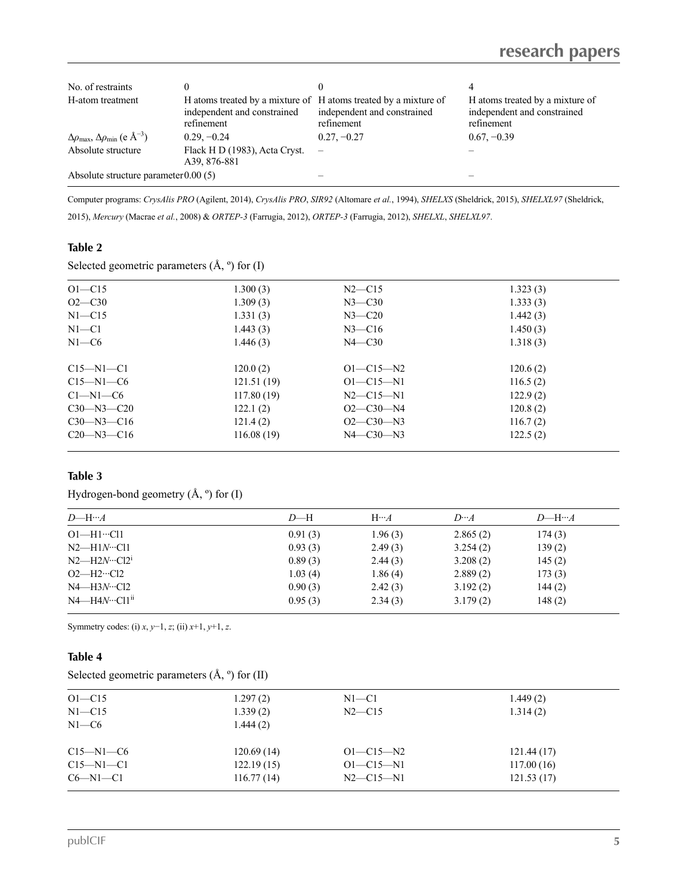| No. of restraints                                                          |                                                                                                              |                                           |                                                                              |
|----------------------------------------------------------------------------|--------------------------------------------------------------------------------------------------------------|-------------------------------------------|------------------------------------------------------------------------------|
| H-atom treatment                                                           | H atoms treated by a mixture of H atoms treated by a mixture of<br>independent and constrained<br>refinement | independent and constrained<br>refinement | H atoms treated by a mixture of<br>independent and constrained<br>refinement |
| $\Delta\rho_{\text{max}}$ , $\Delta\rho_{\text{min}}$ (e Å <sup>-3</sup> ) | $0.29, -0.24$                                                                                                | $0.27, -0.27$                             | $0.67, -0.39$                                                                |
| Absolute structure                                                         | Flack H D (1983), Acta Cryst.<br>A39, 876-881                                                                |                                           |                                                                              |
| Absolute structure parameter $0.00(5)$                                     |                                                                                                              |                                           |                                                                              |

Computer programs: *CrysAlis PRO* (Agilent, 2014), *CrysAlis PRO*, *SIR92* (Altomare *et al.*, 1994), *SHELXS* (Sheldrick, 2015), *SHELXL97* (Sheldrick, 2015), *Mercury* (Macrae *et al.*, 2008) & *ORTEP-3* (Farrugia, 2012), *ORTEP-3* (Farrugia, 2012), *SHELXL*, *SHELXL97*.

## **Table 2**

Selected geometric parameters  $(\hat{A}, \circ)$  for  $(I)$ 

| $O1 - C15$       | 1.300(3)   | $N2$ —C15       | 1.323(3) |  |
|------------------|------------|-----------------|----------|--|
| $O2 - C30$       | 1.309(3)   | $N3$ —C30       | 1.333(3) |  |
| $N1 - C15$       | 1.331(3)   | $N3 - C20$      | 1.442(3) |  |
| $N1 - C1$        | 1.443(3)   | $N3$ —C16       | 1.450(3) |  |
| $N1-C6$          | 1.446(3)   | $N4 - C30$      | 1.318(3) |  |
| $C15 - N1 - C1$  | 120.0(2)   | $O1 - C15 - N2$ | 120.6(2) |  |
| $C15 - N1 - C6$  | 121.51(19) | $O1 - C15 - N1$ | 116.5(2) |  |
| $Cl-M1-C6$       | 117.80(19) | $N2$ —C15—N1    | 122.9(2) |  |
| $C30 - N3 - C20$ | 122.1(2)   | $O2-C30-M4$     | 120.8(2) |  |
| $C30 - N3 - C16$ | 121.4(2)   | $O2-C30-N3$     | 116.7(2) |  |
| $C20$ —N3—C16    | 116.08(19) | $N4 - C30 - N3$ | 122.5(2) |  |
|                  |            |                 |          |  |

## **Table 3**

Hydrogen-bond geometry (Å, º) for (I)

| $D$ —H… $A$                           | $D$ —H  | $H \cdots A$ | $D \cdot A$ | $D$ —H… $A$ |
|---------------------------------------|---------|--------------|-------------|-------------|
| $O1$ —H $1$ …Cl $1$                   | 0.91(3) | 1.96(3)      | 2.865(2)    | 174(3)      |
| $N2$ —H $1N$ …Cl $1$                  | 0.93(3) | 2.49(3)      | 3.254(2)    | 139(2)      |
| $N2$ —H2 $N \cdot \cdot \text{Cl}2^i$ | 0.89(3) | 2.44(3)      | 3.208(2)    | 145(2)      |
| $O2$ —H $2 \cdot$ Cl $2$              | 1.03(4) | 1.86(4)      | 2.889(2)    | 173(3)      |
| $N4$ —H3 $N$ …Cl2                     | 0.90(3) | 2.42(3)      | 3.192(2)    | 144(2)      |
| $N4$ —H $4N$ …Cl1 <sup>ii</sup>       | 0.95(3) | 2.34(3)      | 3.179(2)    | 148(2)      |
|                                       |         |              |             |             |

Symmetry codes: (i) *x*, *y*−1, *z*; (ii) *x*+1, *y*+1, *z*.

## **Table 4**

| Selected geometric parameters $(\hat{A}, \circ)$ for (II) |  |
|-----------------------------------------------------------|--|
|-----------------------------------------------------------|--|

| $O1 - C15$      | 1.297(2)   | $N1 - C1$       | 1.449(2)   |
|-----------------|------------|-----------------|------------|
| $N1 - C15$      | 1.339(2)   | $N2$ —C15       | 1.314(2)   |
| $N1-C6$         | 1.444(2)   |                 |            |
| $C15 - N1 - C6$ | 120.69(14) | $O1 - C15 - N2$ | 121.44(17) |
| $C15 - N1 - C1$ | 122.19(15) | $O1 - C15 - N1$ | 117.00(16) |
| $C6-M1-C1$      | 116.77(14) | $N2 - C15 - N1$ | 121.53(17) |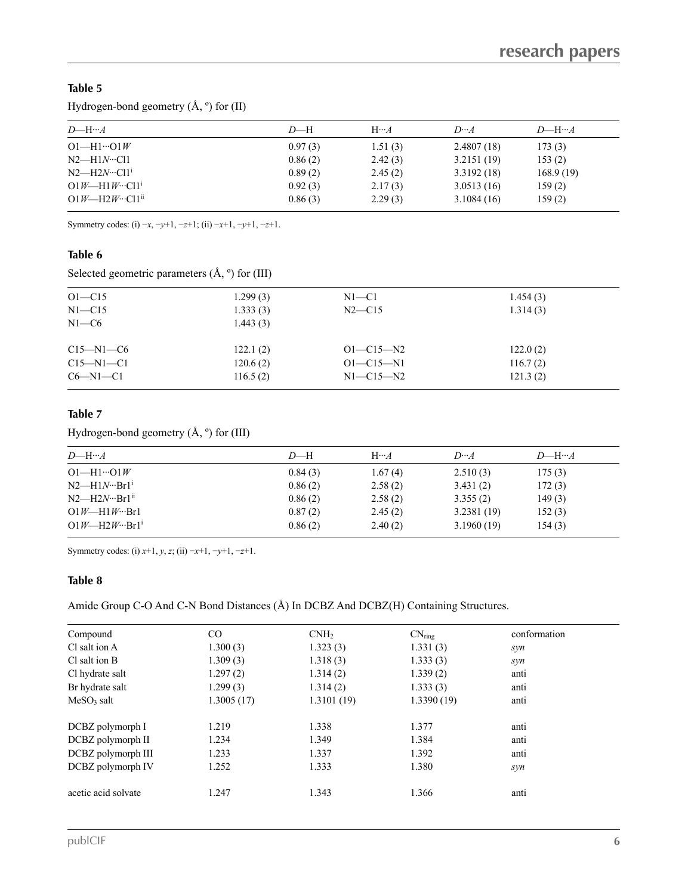## **Table 5**

Hydrogen-bond geometry (Å, º) for (II)

| $D$ —H… $A$                                     | $D$ —H  | $H \cdots A$ | $D \cdots A$ | $D$ —H… $A$ |
|-------------------------------------------------|---------|--------------|--------------|-------------|
| $O1$ —H $1 \cdot O1W$                           | 0.97(3) | 1.51(3)      | 2,4807(18)   | 173(3)      |
| $N2$ —H $1N$ …Cl $1$                            | 0.86(2) | 2.42(3)      | 3.2151(19)   | 153(2)      |
| $N2$ —H2 $N \cdot \cdot \cdot$ Cl1 <sup>i</sup> | 0.89(2) | 2.45(2)      | 3.3192(18)   | 168.9(19)   |
| $O1W$ —H1W…Cl1 <sup>1</sup>                     | 0.92(3) | 2.17(3)      | 3.0513(16)   | 159(2)      |
| $O1W$ —H2W…Cl1 <sup>ii</sup>                    | 0.86(3) | 2.29(3)      | 3.1084(16)   | 159(2)      |
|                                                 |         |              |              |             |

Symmetry codes: (i) −*x*, −*y*+1, −*z*+1; (ii) −*x*+1, −*y*+1, −*z*+1.

## **Table 6**

Selected geometric parameters (Å, º) for (III)

| $O1 - C15$      | 1.299(3) | $N1 - C1$       | 1.454(3) |  |
|-----------------|----------|-----------------|----------|--|
| $N1 - C15$      | 1.333(3) | $N2$ —C15       | 1.314(3) |  |
| $N1-C6$         | 1.443(3) |                 |          |  |
| $C15 - N1 - C6$ | 122.1(2) | $O1 - C15 - N2$ | 122.0(2) |  |
| $C15 - N1 - C1$ | 120.6(2) | $O1 - C15 - N1$ | 116.7(2) |  |
| $C6-M1-C1$      | 116.5(2) | $N1 - C15 - N2$ | 121.3(2) |  |
|                 |          |                 |          |  |

## **Table 7**

Hydrogen-bond geometry (Å, º) for (III)

| $D$ —H… $A$                          | $D$ —H  | $H \cdots A$ | $D \cdot A$ | $D$ —H… $A$ |
|--------------------------------------|---------|--------------|-------------|-------------|
| $O1 - H1 \cdots O1W$                 | 0.84(3) | 1.67(4)      | 2.510(3)    | 175(3)      |
| $N2$ —H $1N \cdot Br1$ <sup>i</sup>  | 0.86(2) | 2.58(2)      | 3.431(2)    | 172(3)      |
| $N2$ —H $2N \cdot Br1$ <sup>ii</sup> | 0.86(2) | 2.58(2)      | 3.355(2)    | 149(3)      |
| $O1W$ —H $1W$ …Br $1$                | 0.87(2) | 2.45(2)      | 3.2381(19)  | 152(3)      |
| $Q1W$ —H2W…Br1 <sup>i</sup>          | 0.86(2) | 2.40(2)      | 3.1960(19)  | 154(3)      |

Symmetry codes: (i) *x*+1, *y*, *z*; (ii) −*x*+1, −*y*+1, −*z*+1.

## **Table 8**

Amide Group C-O And C-N Bond Distances (Å) In DCBZ And DCBZ(H) Containing Structures.

| Compound            | $\rm CO$   | CNH <sub>2</sub> | $CN_{ring}$ | conformation |
|---------------------|------------|------------------|-------------|--------------|
| Cl salt ion A       | 1.300(3)   | 1.323(3)         | 1.331(3)    | syn          |
| Cl salt ion B       | 1.309(3)   | 1.318(3)         | 1.333(3)    | syn          |
| Cl hydrate salt     | 1.297(2)   | 1.314(2)         | 1.339(2)    | anti         |
| Br hydrate salt     | 1.299(3)   | 1.314(2)         | 1.333(3)    | anti         |
| $MeSO3$ salt        | 1.3005(17) | 1.3101(19)       | 1.3390(19)  | anti         |
| DCBZ polymorph I    | 1.219      | 1.338            | 1.377       | anti         |
| DCBZ polymorph II   | 1.234      | 1.349            | 1.384       | anti         |
| DCBZ polymorph III  | 1.233      | 1.337            | 1.392       | anti         |
| DCBZ polymorph IV   | 1.252      | 1.333            | 1.380       | syn          |
| acetic acid solvate | 1.247      | 1.343            | 1.366       | anti         |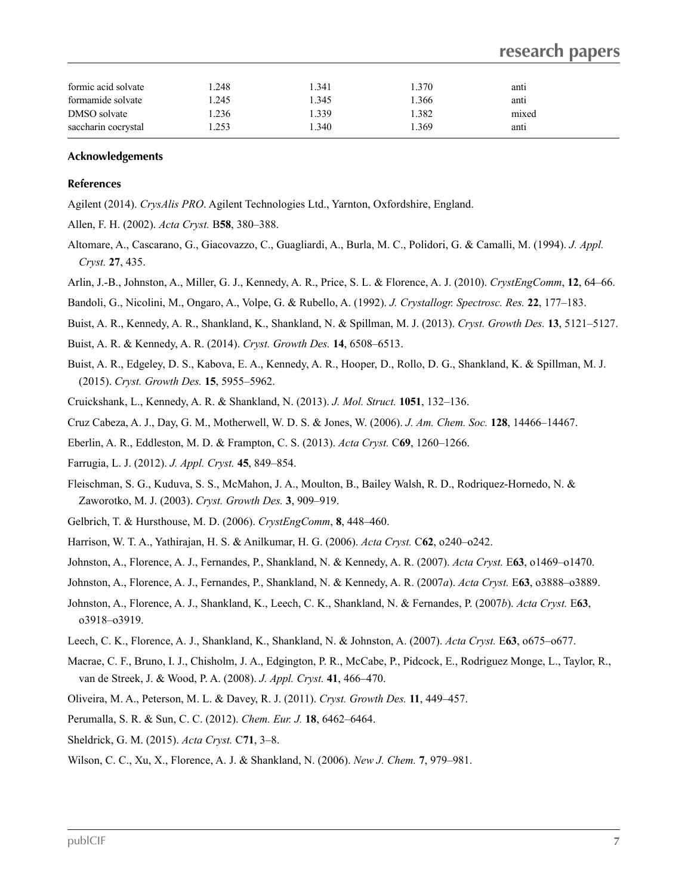# **research papers**

| formic acid solvate | 1.248 | 1.341 | 1.370 | anti  |  |
|---------------------|-------|-------|-------|-------|--|
| formamide solvate   | 1.245 | 1.345 | .366  | anti  |  |
| DMSO solvate        | .236  | 1.339 | 1.382 | mixed |  |
| saccharin cocrystal | .253  | 1.340 | .369  | anti  |  |

#### **Acknowledgements**

#### **References**

Agilent (2014). *CrysAlis PRO*. Agilent Technologies Ltd.,Yarnton, Oxfordshire, England.

- Allen, F. H. (2002). *Acta Cryst.* B**58**, 380–388.
- Altomare, A., Cascarano, G., Giacovazzo, C., Guagliardi, A., Burla, M. C., Polidori, G. & Camalli, M. (1994).*J. Appl. Cryst.* **27**, 435.
- Arlin, J.-B., Johnston, A., Miller, G. J., Kennedy, A. R., Price, S. L. & Florence, A. J. (2010). *CrystEngComm*, **12**, 64–66.
- Bandoli, G., Nicolini, M., Ongaro, A., Volpe, G. & Rubello, A. (1992). *J. Crystallogr. Spectrosc. Res.* **22**, 177–183.
- Buist, A. R., Kennedy, A. R., Shankland, K., Shankland, N. & Spillman, M. J. (2013). *Cryst. Growth Des.* **13**, 5121–5127.
- Buist, A. R. & Kennedy, A. R. (2014). *Cryst. Growth Des.* **14**, 6508–6513.
- Buist, A. R., Edgeley, D. S., Kabova, E. A., Kennedy, A. R., Hooper, D., Rollo, D. G., Shankland, K. & Spillman, M. J. (2015). *Cryst. Growth Des.* **15**, 5955–5962.
- Cruickshank, L., Kennedy, A. R. & Shankland, N. (2013). *J. Mol. Struct.* **1051**, 132–136.
- Cruz Cabeza, A. J., Day, G. M., Motherwell, W. D. S. & Jones, W. (2006). *J.Am. Chem. Soc.* **128**, 14466–14467.
- Eberlin, A. R., Eddleston, M. D. & Frampton, C. S. (2013). *Acta Cryst.* C**69**, 1260–1266.
- Farrugia, L. J. (2012). *J. Appl. Cryst.* **45**, 849–854.
- Fleischman, S. G., Kuduva, S. S., McMahon, J. A., Moulton, B., Bailey Walsh, R. D., Rodriquez-Hornedo, N. & Zaworotko, M. J. (2003). *Cryst. Growth Des.* **3**, 909–919.
- Gelbrich, T. & Hursthouse, M. D. (2006). *CrystEngComm*, **8**, 448–460.
- Harrison, W. T. A., Yathirajan, H. S. & Anilkumar, H. G. (2006). *Acta Cryst.* C**62**, o240–o242.
- Johnston, A., Florence, A. J., Fernandes, P., Shankland, N. & Kennedy, A. R. (2007). *Acta Cryst.* E**63**, o1469–o1470.
- Johnston, A., Florence, A. J., Fernandes, P., Shankland, N. & Kennedy, A. R. (2007*a*). *Acta Cryst.* E**63**, o3888–o3889.
- Johnston, A., Florence, A. J., Shankland, K., Leech, C. K., Shankland, N. & Fernandes, P. (2007*b*). *Acta Cryst.* E**63**, o3918–o3919.
- Leech, C. K., Florence, A. J., Shankland, K., Shankland, N. & Johnston, A. (2007). *Acta Cryst.* E**63**, o675–o677.
- Macrae, C. F., Bruno, I. J., Chisholm, J. A., Edgington, P. R., McCabe, P., Pidcock, E., Rodriguez Monge, L., Taylor, R., van de Streek, J. & Wood, P. A. (2008). *J. Appl. Cryst.* **41**, 466–470.
- Oliveira, M. A., Peterson, M. L. & Davey, R. J. (2011). *Cryst. Growth Des.* **11**, 449–457.
- Perumalla, S. R. & Sun, C. C. (2012). *Chem. Eur. J.* **18**, 6462–6464.
- Sheldrick, G. M. (2015). *Acta Cryst.* C**71**, 3–8.
- Wilson, C. C., Xu, X., Florence, A. J. & Shankland, N. (2006). *New J. Chem.* **7**, 979–981.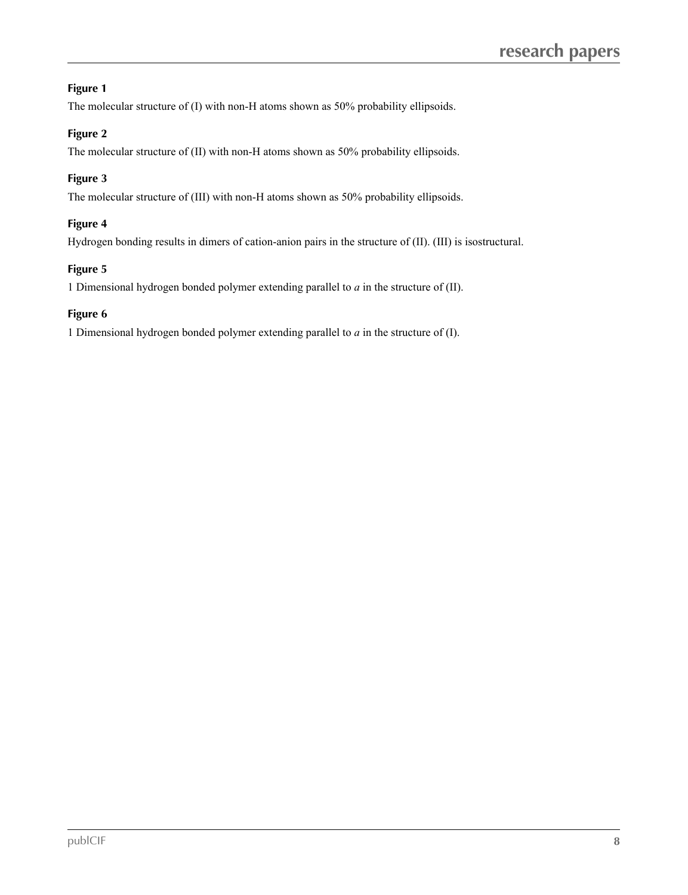## **Figure 1**

The molecular structure of (I) with non-H atoms shown as 50% probability ellipsoids.

## **Figure 2**

The molecular structure of (II) with non-H atoms shown as 50% probability ellipsoids.

## **Figure 3**

The molecular structure of (III) with non-H atoms shown as 50% probability ellipsoids.

## **Figure 4**

Hydrogen bonding results in dimers of cation-anion pairs in the structure of (II). (III) is isostructural.

## **Figure 5**

1 Dimensional hydrogen bonded polymer extending parallel to *a* in the structure of (II).

## **Figure 6**

1 Dimensional hydrogen bonded polymer extending parallel to *a* in the structure of (I).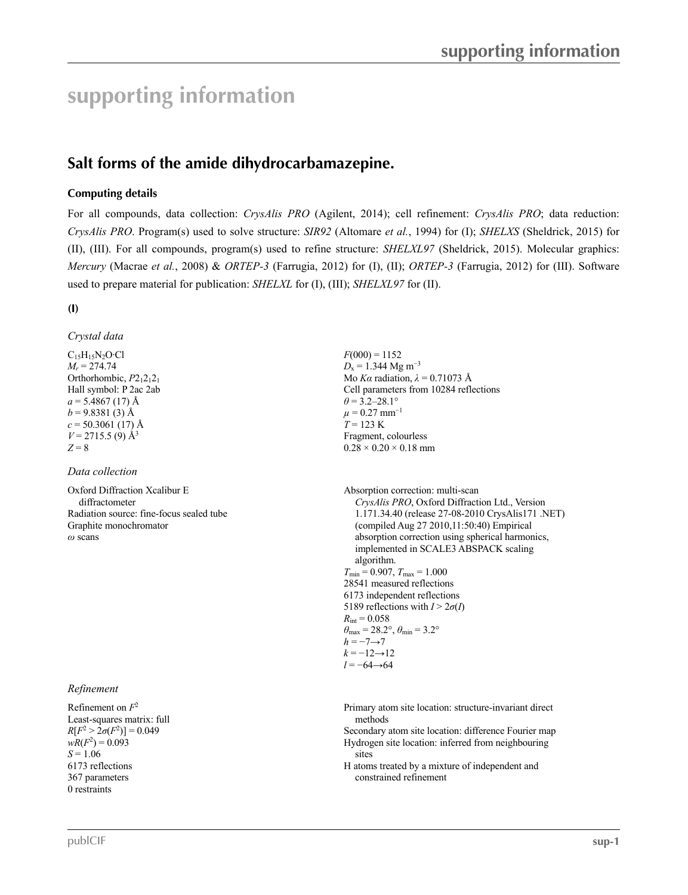# **supporting information**

# **Salt** forms of the amide dihydrocarbamazepine.

## **Computing details**

For all compounds, data collection: *CrysAlis PRO* (Agilent, 2014); cell refinement: *CrysAlis PRO*; data reduction: *CrysAlis PRO*. Program(s) used to solve structure: *SIR92* (Altomare *et al.*, 1994) for (I); *SHELXS* (Sheldrick, 2015) for (II), (III). For all compounds, program(s) used to refine structure: *SHELXL97* (Sheldrick, 2015). Molecular graphics: *Mercury* (Macrae *et al.*, 2008) & *ORTEP-3* (Farrugia, 2012) for (I), (II); *ORTEP-3* (Farrugia, 2012) for (III). Software used to prepare material for publication: *SHELXL* for (I), (III); *SHELXL97* for (II).

## **(I)**

*Crystal data*

 $C_1$ <sub>5</sub>H<sub>15</sub>N<sub>2</sub>O·Cl *M<sup>r</sup>* = 274.74 Orthorhombic,  $P2_12_12_1$ Hall symbol: P 2ac 2ab  $a = 5.4867(17)$  Å  $b = 9.8381(3)$  Å  $c = 50.3061(17)$  Å  $V = 2715.5$  (9) Å<sup>3</sup> 3  $Z = 8$ 

## *Data collection*

Oxford Diffraction Xcalibur E diffractometer Radiation source: fine-focus sealed tube Graphite monochromator

## *Refinement*

Refinement on *F*  $2 \left( \frac{1}{2} \right)$ Least-squares matrix: full  $R[F^2 > 2\sigma(F^2)] = 0.049$  $wR(F^2) = 0.093$  $S = 1.06$ 6173 reflections 367 parameters 0 restraints

 $F(000) = 1152$  $D_x = 1.344 \text{ Mg m}^{-3}$ Mo *Kα* radiation, *λ* = 0.71073 Å Cell parameters from 10284 reflections  $\theta$  = 3.2–28.1°  $\mu$  = 0.27 mm<sup>-1</sup>  $T = 123 \text{ K}$ Fragment, colourless  $0.28 \times 0.20 \times 0.18$  mm

*Oxford Diffraction Xcalibur E*<br>
diffractometer<br>
Radiation source: fine-focus sealed tube<br>
Radiation source: fine-focus sealed tube<br> *CrysAlis PRO*, Oxford Diffraction Ltd., Version<br>
1.171.34.40 (release 27-08-2010 CrysAl 1.171.34.40 (release 27-08-2010 CrysAlis171 .NET) (compiled Aug 27 2010,11:50:40) Empirical absorption correction using spherical harmonics, implemented in SCALE3 ABSPACK scaling algorithm.  $T_{\text{min}} = 0.907, T_{\text{max}} = 1.000$ 28541 measured reflections 6173 independent reflections 5189 reflections with  $I > 2\sigma(I)$  $R_{\text{int}} = 0.058$  $\theta_{\text{max}} = 28.2^{\circ}, \theta_{\text{min}} = 3.2^{\circ}$  $h = -7 \rightarrow 7$  $k = -12 \rightarrow 12$ *l* = −64→64

> Primary atom site location: structure-invariant direct methods

Secondary atom site location: difference Fourier map Hydrogen site location: inferred from neighbouring sites

H atoms treated by a mixture of independent and constrained refinement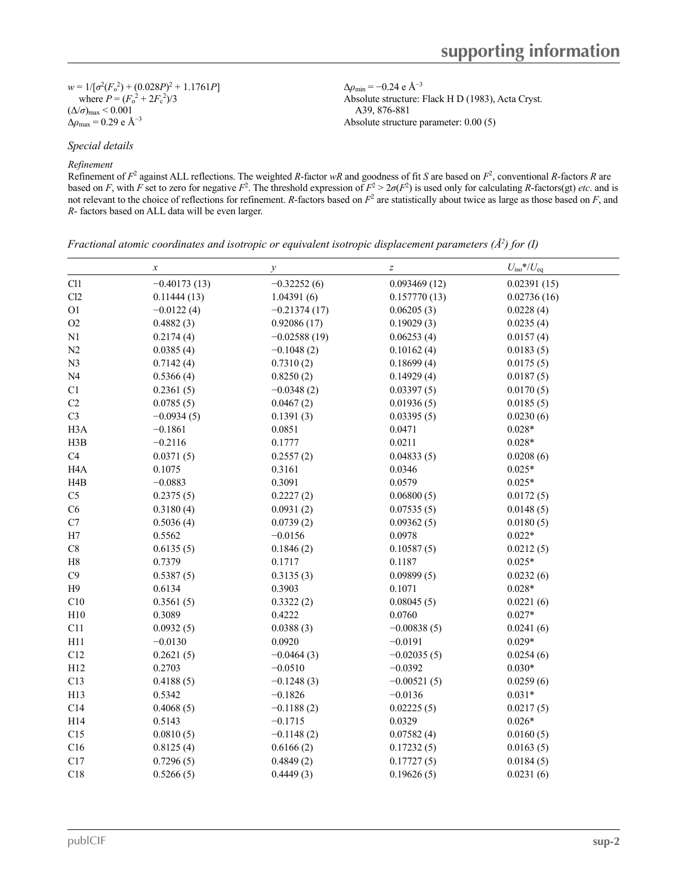$w = 1/[\sigma^2 (F_o^2) + (0.028P)^2 + 1.1761P]$ where  $P = (F_0^2 + 2F_c^2)/3$  $(\Delta/\sigma)_{\text{max}} < 0.001$  $Δρ<sub>max</sub> = 0.29 e Å<sup>-3</sup>$ 

 $(0.028P)^2 + 1.1761P$ <br>  $^2 + 2F_c^2$ /3<br>  $^2 + 2F_c^2$ <br>  $^3$  Absolute structure: Flack H D (1983), Acta Cr<br>  $^3$ , 876-881<br>
Absolute structure parameter: 0.00.(5)  $\Delta\rho_{\rm min}$  = −0.24 e Å<sup>-3</sup> Absolute structure: Flack H D (1983), Acta Cryst. A39, 876-881 Absolute structure parameter: 0.00 (5)

*Special details*

#### *Refinement*

Refinement of  $F^2$  against ALL reflections. The weighted *R*-factor *wR* and goodness of fit *S* are based on  $F^2$ , conventional *R*-factors *R* are based on *F*, with *F* set to zero for negative  $F^2$ . The threshold expression of  $F^2 > 2\sigma(F^2)$  is used only for calculating *R*-factors(gt) *etc*. and is not relevant to the choice of reflections for refinement. *R*-factors based on *F* <sup>2</sup> are statistically about twice as large as those based on *F*, and *R*- factors based on ALL data will be even larger.

| Fractional atomic coordinates and isotropic or equivalent isotropic displacement parameters ( $\hat{A}^2$ ) for (I) |  |  |  |
|---------------------------------------------------------------------------------------------------------------------|--|--|--|
|                                                                                                                     |  |  |  |

|                  | $\boldsymbol{x}$ | $\mathcal{Y}$  | $\boldsymbol{Z}$ | $U_{\text{iso}}$ */ $U_{\text{eq}}$ |
|------------------|------------------|----------------|------------------|-------------------------------------|
| Cl1              | $-0.40173(13)$   | $-0.32252(6)$  | 0.093469(12)     | 0.02391(15)                         |
| Cl2              | 0.11444(13)      | 1.04391(6)     | 0.157770(13)     | 0.02736(16)                         |
| O1               | $-0.0122(4)$     | $-0.21374(17)$ | 0.06205(3)       | 0.0228(4)                           |
| $\rm{O2}$        | 0.4882(3)        | 0.92086(17)    | 0.19029(3)       | 0.0235(4)                           |
| N1               | 0.2174(4)        | $-0.02588(19)$ | 0.06253(4)       | 0.0157(4)                           |
| N2               | 0.0385(4)        | $-0.1048(2)$   | 0.10162(4)       | 0.0183(5)                           |
| N3               | 0.7142(4)        | 0.7310(2)      | 0.18699(4)       | 0.0175(5)                           |
| N <sub>4</sub>   | 0.5366(4)        | 0.8250(2)      | 0.14929(4)       | 0.0187(5)                           |
| C1               | 0.2361(5)        | $-0.0348(2)$   | 0.03397(5)       | 0.0170(5)                           |
| C2               | 0.0785(5)        | 0.0467(2)      | 0.01936(5)       | 0.0185(5)                           |
| C <sub>3</sub>   | $-0.0934(5)$     | 0.1391(3)      | 0.03395(5)       | 0.0230(6)                           |
| H <sub>3</sub> A | $-0.1861$        | 0.0851         | 0.0471           | $0.028*$                            |
| H3B              | $-0.2116$        | 0.1777         | 0.0211           | $0.028*$                            |
| C4               | 0.0371(5)        | 0.2557(2)      | 0.04833(5)       | 0.0208(6)                           |
| H <sub>4</sub> A | 0.1075           | 0.3161         | 0.0346           | $0.025*$                            |
| H <sub>4</sub> B | $-0.0883$        | 0.3091         | 0.0579           | $0.025*$                            |
| C <sub>5</sub>   | 0.2375(5)        | 0.2227(2)      | 0.06800(5)       | 0.0172(5)                           |
| C6               | 0.3180(4)        | 0.0931(2)      | 0.07535(5)       | 0.0148(5)                           |
| $\rm C7$         | 0.5036(4)        | 0.0739(2)      | 0.09362(5)       | 0.0180(5)                           |
| H7               | 0.5562           | $-0.0156$      | 0.0978           | $0.022*$                            |
| $\mbox{C}8$      | 0.6135(5)        | 0.1846(2)      | 0.10587(5)       | 0.0212(5)                           |
| H8               | 0.7379           | 0.1717         | 0.1187           | $0.025*$                            |
| C9               | 0.5387(5)        | 0.3135(3)      | 0.09899(5)       | 0.0232(6)                           |
| H9               | 0.6134           | 0.3903         | 0.1071           | $0.028*$                            |
| C10              | 0.3561(5)        | 0.3322(2)      | 0.08045(5)       | 0.0221(6)                           |
| H10              | 0.3089           | 0.4222         | 0.0760           | $0.027*$                            |
| C11              | 0.0932(5)        | 0.0388(3)      | $-0.00838(5)$    | 0.0241(6)                           |
| H11              | $-0.0130$        | 0.0920         | $-0.0191$        | $0.029*$                            |
| C12              | 0.2621(5)        | $-0.0464(3)$   | $-0.02035(5)$    | 0.0254(6)                           |
| H12              | 0.2703           | $-0.0510$      | $-0.0392$        | $0.030*$                            |
| C13              | 0.4188(5)        | $-0.1248(3)$   | $-0.00521(5)$    | 0.0259(6)                           |
| H13              | 0.5342           | $-0.1826$      | $-0.0136$        | $0.031*$                            |
| C14              | 0.4068(5)        | $-0.1188(2)$   | 0.02225(5)       | 0.0217(5)                           |
| H14              | 0.5143           | $-0.1715$      | 0.0329           | $0.026*$                            |
| C15              | 0.0810(5)        | $-0.1148(2)$   | 0.07582(4)       | 0.0160(5)                           |
| C16              | 0.8125(4)        | 0.6166(2)      | 0.17232(5)       | 0.0163(5)                           |
| C17              | 0.7296(5)        | 0.4849(2)      | 0.17727(5)       | 0.0184(5)                           |
| C18              | 0.5266(5)        | 0.4449(3)      | 0.19626(5)       | 0.0231(6)                           |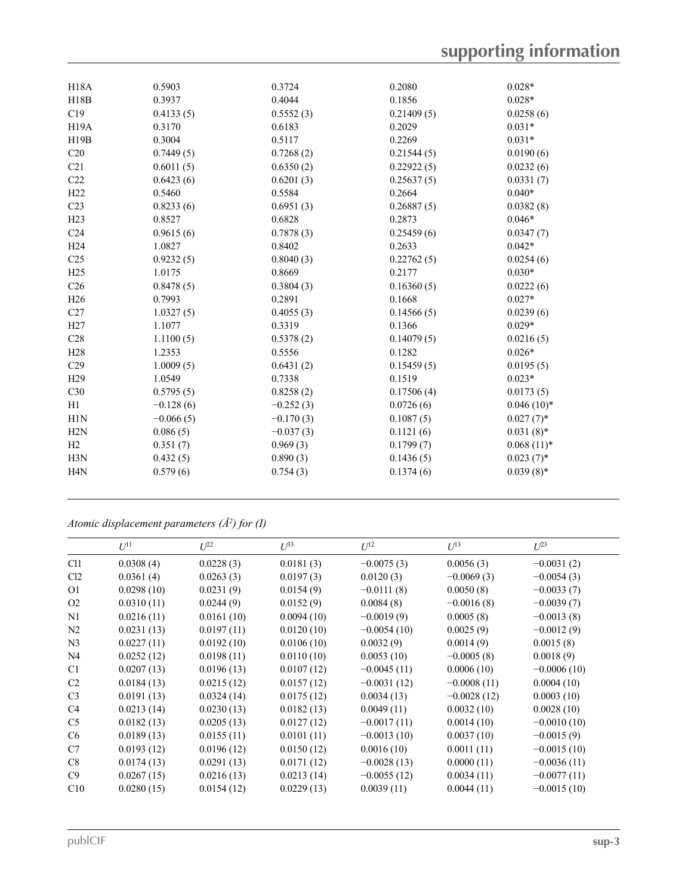| H <sub>18</sub> A | 0.5903      | 0.3724      | 0.2080     | $0.028*$     |
|-------------------|-------------|-------------|------------|--------------|
| H18B              | 0.3937      | 0.4044      | 0.1856     | $0.028*$     |
| C19               | 0.4133(5)   | 0.5552(3)   | 0.21409(5) | 0.0258(6)    |
| H <sub>19</sub> A | 0.3170      | 0.6183      | 0.2029     | $0.031*$     |
| H19B              | 0.3004      | 0.5117      | 0.2269     | $0.031*$     |
| C20               | 0.7449(5)   | 0.7268(2)   | 0.21544(5) | 0.0190(6)    |
| C21               | 0.6011(5)   | 0.6350(2)   | 0.22922(5) | 0.0232(6)    |
| C22               | 0.6423(6)   | 0.6201(3)   | 0.25637(5) | 0.0331(7)    |
| H22               | 0.5460      | 0.5584      | 0.2664     | $0.040*$     |
| C <sub>23</sub>   | 0.8233(6)   | 0.6951(3)   | 0.26887(5) | 0.0382(8)    |
| H23               | 0.8527      | 0.6828      | 0.2873     | $0.046*$     |
| C <sub>24</sub>   | 0.9615(6)   | 0.7878(3)   | 0.25459(6) | 0.0347(7)    |
| H <sub>24</sub>   | 1.0827      | 0.8402      | 0.2633     | $0.042*$     |
| C <sub>25</sub>   | 0.9232(5)   | 0.8040(3)   | 0.22762(5) | 0.0254(6)    |
| H25               | 1.0175      | 0.8669      | 0.2177     | $0.030*$     |
| C <sub>26</sub>   | 0.8478(5)   | 0.3804(3)   | 0.16360(5) | 0.0222(6)    |
| H <sub>26</sub>   | 0.7993      | 0.2891      | 0.1668     | $0.027*$     |
| C27               | 1.0327(5)   | 0.4055(3)   | 0.14566(5) | 0.0239(6)    |
| H27               | 1.1077      | 0.3319      | 0.1366     | $0.029*$     |
| C28               | 1.1100(5)   | 0.5378(2)   | 0.14079(5) | 0.0216(5)    |
| H <sub>28</sub>   | 1.2353      | 0.5556      | 0.1282     | $0.026*$     |
| C <sub>29</sub>   | 1.0009(5)   | 0.6431(2)   | 0.15459(5) | 0.0195(5)    |
| H <sub>29</sub>   | 1.0549      | 0.7338      | 0.1519     | $0.023*$     |
| C30               | 0.5795(5)   | 0.8258(2)   | 0.17506(4) | 0.0173(5)    |
| H1                | $-0.128(6)$ | $-0.252(3)$ | 0.0726(6)  | $0.046(10)*$ |
| H <sub>1</sub> N  | $-0.066(5)$ | $-0.170(3)$ | 0.1087(5)  | $0.027(7)$ * |
| H2N               | 0.086(5)    | $-0.037(3)$ | 0.1121(6)  | $0.031(8)$ * |
| H2                | 0.351(7)    | 0.969(3)    | 0.1799(7)  | $0.068(11)*$ |
| H3N               | 0.432(5)    | 0.890(3)    | 0.1436(5)  | $0.023(7)$ * |
| H <sub>4</sub> N  | 0.579(6)    | 0.754(3)    | 0.1374(6)  | $0.039(8)$ * |
|                   |             |             |            |              |

*Atomic displacement parameters (Å <sup>2</sup>) for (I)*

|                 | $U^{11}$   | $U^{22}$   | $U^{33}$   | $U^{12}$      | $U^{13}$      | $U^{23}$      |
|-----------------|------------|------------|------------|---------------|---------------|---------------|
| Cl <sub>1</sub> | 0.0308(4)  | 0.0228(3)  | 0.0181(3)  | $-0.0075(3)$  | 0.0056(3)     | $-0.0031(2)$  |
| Cl <sub>2</sub> | 0.0361(4)  | 0.0263(3)  | 0.0197(3)  | 0.0120(3)     | $-0.0069(3)$  | $-0.0054(3)$  |
| O <sub>1</sub>  | 0.0298(10) | 0.0231(9)  | 0.0154(9)  | $-0.0111(8)$  | 0.0050(8)     | $-0.0033(7)$  |
| O <sub>2</sub>  | 0.0310(11) | 0.0244(9)  | 0.0152(9)  | 0.0084(8)     | $-0.0016(8)$  | $-0.0039(7)$  |
| N1              | 0.0216(11) | 0.0161(10) | 0.0094(10) | $-0.0019(9)$  | 0.0005(8)     | $-0.0013(8)$  |
| N <sub>2</sub>  | 0.0231(13) | 0.0197(11) | 0.0120(10) | $-0.0054(10)$ | 0.0025(9)     | $-0.0012(9)$  |
| N <sub>3</sub>  | 0.0227(11) | 0.0192(10) | 0.0106(10) | 0.0032(9)     | 0.0014(9)     | 0.0015(8)     |
| N4              | 0.0252(12) | 0.0198(11) | 0.0110(10) | 0.0053(10)    | $-0.0005(8)$  | 0.0018(9)     |
| C <sub>1</sub>  | 0.0207(13) | 0.0196(13) | 0.0107(12) | $-0.0045(11)$ | 0.0006(10)    | $-0.0006(10)$ |
| C2              | 0.0184(13) | 0.0215(12) | 0.0157(12) | $-0.0031(12)$ | $-0.0008(11)$ | 0.0004(10)    |
| C <sub>3</sub>  | 0.0191(13) | 0.0324(14) | 0.0175(12) | 0.0034(13)    | $-0.0028(12)$ | 0.0003(10)    |
| C <sub>4</sub>  | 0.0213(14) | 0.0230(13) | 0.0182(13) | 0.0049(11)    | 0.0032(10)    | 0.0028(10)    |
| C <sub>5</sub>  | 0.0182(13) | 0.0205(13) | 0.0127(12) | $-0.0017(11)$ | 0.0014(10)    | $-0.0010(10)$ |
| C <sub>6</sub>  | 0.0189(13) | 0.0155(11) | 0.0101(11) | $-0.0013(10)$ | 0.0037(10)    | $-0.0015(9)$  |
| C7              | 0.0193(12) | 0.0196(12) | 0.0150(12) | 0.0016(10)    | 0.0011(11)    | $-0.0015(10)$ |
| C8              | 0.0174(13) | 0.0291(13) | 0.0171(12) | $-0.0028(13)$ | 0.0000(11)    | $-0.0036(11)$ |
| C9              | 0.0267(15) | 0.0216(13) | 0.0213(14) | $-0.0055(12)$ | 0.0034(11)    | $-0.0077(11)$ |
| C10             | 0.0280(15) | 0.0154(12) | 0.0229(13) | 0.0039(11)    | 0.0044(11)    | $-0.0015(10)$ |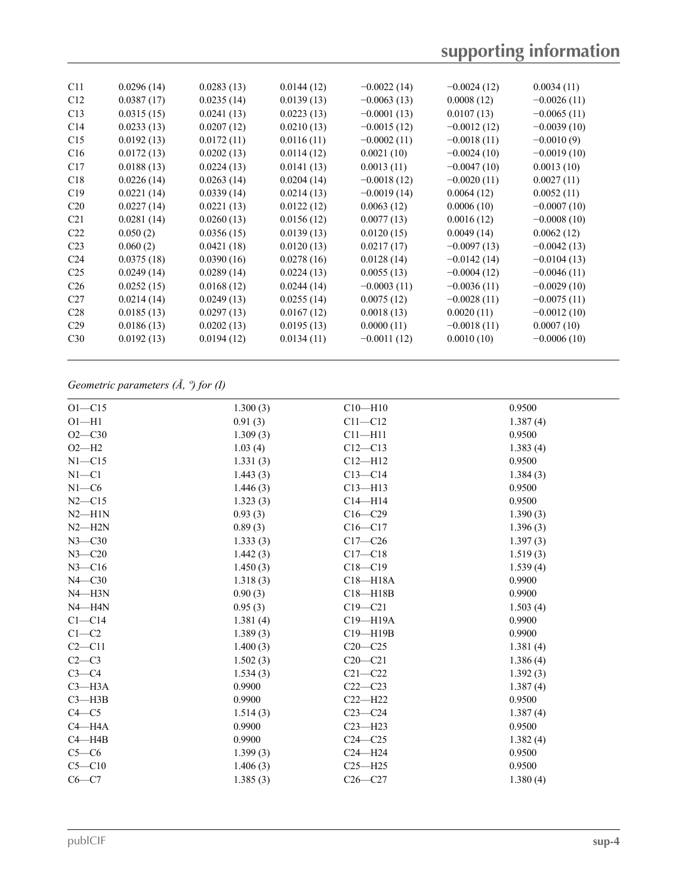| C11             | 0.0296(14) | 0.0283(13) | 0.0144(12) | $-0.0022(14)$ | $-0.0024(12)$ | 0.0034(11)    |  |
|-----------------|------------|------------|------------|---------------|---------------|---------------|--|
| C12             | 0.0387(17) | 0.0235(14) | 0.0139(13) | $-0.0063(13)$ | 0.0008(12)    | $-0.0026(11)$ |  |
| C13             | 0.0315(15) | 0.0241(13) | 0.0223(13) | $-0.0001(13)$ | 0.0107(13)    | $-0.0065(11)$ |  |
| C <sub>14</sub> | 0.0233(13) | 0.0207(12) | 0.0210(13) | $-0.0015(12)$ | $-0.0012(12)$ | $-0.0039(10)$ |  |
| C15             | 0.0192(13) | 0.0172(11) | 0.0116(11) | $-0.0002(11)$ | $-0.0018(11)$ | $-0.0010(9)$  |  |
| C16             | 0.0172(13) | 0.0202(13) | 0.0114(12) | 0.0021(10)    | $-0.0024(10)$ | $-0.0019(10)$ |  |
| C17             | 0.0188(13) | 0.0224(13) | 0.0141(13) | 0.0013(11)    | $-0.0047(10)$ | 0.0013(10)    |  |
| C18             | 0.0226(14) | 0.0263(14) | 0.0204(14) | $-0.0018(12)$ | $-0.0020(11)$ | 0.0027(11)    |  |
| C19             | 0.0221(14) | 0.0339(14) | 0.0214(13) | $-0.0019(14)$ | 0.0064(12)    | 0.0052(11)    |  |
| C20             | 0.0227(14) | 0.0221(13) | 0.0122(12) | 0.0063(12)    | 0.0006(10)    | $-0.0007(10)$ |  |
| C <sub>21</sub> | 0.0281(14) | 0.0260(13) | 0.0156(12) | 0.0077(13)    | 0.0016(12)    | $-0.0008(10)$ |  |
| C <sub>22</sub> | 0.050(2)   | 0.0356(15) | 0.0139(13) | 0.0120(15)    | 0.0049(14)    | 0.0062(12)    |  |
| C <sub>23</sub> | 0.060(2)   | 0.0421(18) | 0.0120(13) | 0.0217(17)    | $-0.0097(13)$ | $-0.0042(13)$ |  |
| C <sub>24</sub> | 0.0375(18) | 0.0390(16) | 0.0278(16) | 0.0128(14)    | $-0.0142(14)$ | $-0.0104(13)$ |  |
| C <sub>25</sub> | 0.0249(14) | 0.0289(14) | 0.0224(13) | 0.0055(13)    | $-0.0004(12)$ | $-0.0046(11)$ |  |
| C <sub>26</sub> | 0.0252(15) | 0.0168(12) | 0.0244(14) | $-0.0003(11)$ | $-0.0036(11)$ | $-0.0029(10)$ |  |
| C27             | 0.0214(14) | 0.0249(13) | 0.0255(14) | 0.0075(12)    | $-0.0028(11)$ | $-0.0075(11)$ |  |
| C <sub>28</sub> | 0.0185(13) | 0.0297(13) | 0.0167(12) | 0.0018(13)    | 0.0020(11)    | $-0.0012(10)$ |  |
| C <sub>29</sub> | 0.0186(13) | 0.0202(13) | 0.0195(13) | 0.0000(11)    | $-0.0018(11)$ | 0.0007(10)    |  |
| C <sub>30</sub> | 0.0192(13) | 0.0194(12) | 0.0134(11) | $-0.0011(12)$ | 0.0010(10)    | $-0.0006(10)$ |  |
|                 |            |            |            |               |               |               |  |

## *Geometric parameters (Å, º) for (I)*

| $O1 - C15$   | 1.300(3) | $C10$ —H $10$ | 0.9500   |
|--------------|----------|---------------|----------|
| $O1 - H1$    | 0.91(3)  | $C11 - C12$   | 1.387(4) |
| $O2 - C30$   | 1.309(3) | $C11 - H11$   | 0.9500   |
| $O2-H2$      | 1.03(4)  | $C12 - C13$   | 1.383(4) |
| $N1 - C15$   | 1.331(3) | $Cl2-H12$     | 0.9500   |
| $N1 - C1$    | 1.443(3) | $C13 - C14$   | 1.384(3) |
| $N1-C6$      | 1.446(3) | $C13 - H13$   | 0.9500   |
| $N2 - C15$   | 1.323(3) | $C14 - H14$   | 0.9500   |
| $N2$ —H1N    | 0.93(3)  | $C16 - C29$   | 1.390(3) |
| $N2 - H2N$   | 0.89(3)  | $C16-C17$     | 1.396(3) |
| $N3 - C30$   | 1.333(3) | $C17 - C26$   | 1.397(3) |
| $N3 - C20$   | 1.442(3) | $C17 - C18$   | 1.519(3) |
| $N3 - C16$   | 1.450(3) | $C18 - C19$   | 1.539(4) |
| $N4$ — $C30$ | 1.318(3) | $C18 - H18A$  | 0.9900   |
| $N4 - H3N$   | 0.90(3)  | $C18 - H18B$  | 0.9900   |
| $N4 - H4N$   | 0.95(3)  | $C19 - C21$   | 1.503(4) |
| $Cl - Cl4$   | 1.381(4) | C19-H19A      | 0.9900   |
| $C1-C2$      | 1.389(3) | $C19 - H19B$  | 0.9900   |
| $C2 - C11$   | 1.400(3) | $C20-C25$     | 1.381(4) |
| $C2-C3$      | 1.502(3) | $C20-C21$     | 1.386(4) |
| $C3-C4$      | 1.534(3) | $C21 - C22$   | 1.392(3) |
| $C3$ —H3A    | 0.9900   | $C22-C23$     | 1.387(4) |
| $C3$ —H3B    | 0.9900   | $C22 - H22$   | 0.9500   |
| $C4 - C5$    | 1.514(3) | $C23-C24$     | 1.387(4) |
| $C4 - H4A$   | 0.9900   | $C23 - H23$   | 0.9500   |
| $C4 - H4B$   | 0.9900   | $C24 - C25$   | 1.382(4) |
| $C5-C6$      | 1.399(3) | $C24 - H24$   | 0.9500   |
| $C5 - C10$   | 1.406(3) | $C25 - H25$   | 0.9500   |
| $C6-C7$      | 1.385(3) | $C26 - C27$   | 1.380(4) |
|              |          |               |          |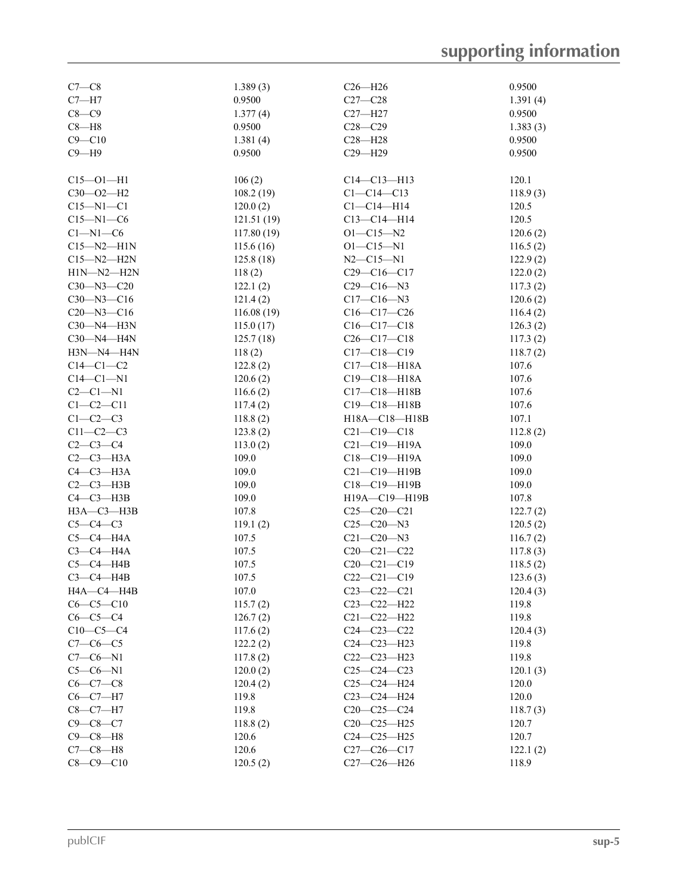| $C7-C8$          | 1.389(3)           | $C26 - H26$                | 0.9500           |
|------------------|--------------------|----------------------------|------------------|
| $C7 - H7$        | 0.9500             | $C27 - C28$                | 1.391(4)         |
| $C8-C9$          | 1.377(4)           | $C27 - H27$                | 0.9500           |
| $C8 - H8$        | 0.9500             | $C28 - C29$                | 1.383(3)         |
| $C9 - C10$       |                    |                            |                  |
|                  | 1.381(4)<br>0.9500 | $C28 - H28$<br>$C29 - H29$ | 0.9500<br>0.9500 |
| $C9 - H9$        |                    |                            |                  |
| $C15 - O1 - H1$  | 106(2)             | $C14 - C13 - H13$          | 120.1            |
| $C30 - O2 - H2$  | 108.2(19)          | $C1 - C14 - C13$           | 118.9(3)         |
| $C15 - N1 - C1$  | 120.0(2)           | $Cl - Cl4 - H14$           | 120.5            |
| $C15 - N1 - C6$  | 121.51(19)         | $C13 - C14 - H14$          | 120.5            |
| $Cl-M1-C6$       | 117.80(19)         | $O1 - C15 - N2$            | 120.6(2)         |
| $C15 - N2 - H1N$ | 115.6(16)          | $O1 - C15 - N1$            | 116.5(2)         |
| $C15 - N2 - H2N$ | 125.8(18)          | $N2 - C15 - N1$            | 122.9(2)         |
| $H1N-M2-H2N$     | 118(2)             | $C29 - C16 - C17$          | 122.0(2)         |
| $C30 - N3 - C20$ | 122.1(2)           | $C29 - C16 - N3$           |                  |
|                  |                    |                            | 117.3(2)         |
| $C30 - N3 - C16$ | 121.4(2)           | $C17 - C16 - N3$           | 120.6(2)         |
| $C20 - N3 - C16$ | 116.08(19)         | $C16-C17-C26$              | 116.4(2)         |
| $C30 - N4 - H3N$ | 115.0(17)          | $C16-C17-C18$              | 126.3(2)         |
| C30-N4-H4N       | 125.7(18)          | $C26 - C17 - C18$          | 117.3(2)         |
| H3N-N4-H4N       | 118(2)             | $C17 - C18 - C19$          | 118.7(2)         |
| $C14-C1-C2$      | 122.8(2)           | C17-C18-H18A               | 107.6            |
| $C14-C1-N1$      | 120.6(2)           | C19-C18-H18A               | 107.6            |
| $C2-C1-N1$       | 116.6(2)           | $C17 - C18 - H18B$         | 107.6            |
| $C1-C2-C11$      | 117.4(2)           | C19-C18-H18B               | 107.6            |
| $C1-C2-C3$       | 118.8(2)           | H18A-C18-H18B              | 107.1            |
| $C11-C2-C3$      | 123.8(2)           | $C21 - C19 - C18$          | 112.8(2)         |
| $C2 - C3 - C4$   | 113.0(2)           | $C21-C19-H19A$             | 109.0            |
| $C2-C3-H3A$      | 109.0              | C18-C19-H19A               | 109.0            |
| $C4-C3-H3A$      | 109.0              | C21-C19-H19B               | 109.0            |
| $C2-C3-H3B$      | 109.0              | $C18 - C19 - H19B$         | 109.0            |
| $C4-C3-H3B$      | 109.0              | H19A-C19-H19B              | 107.8            |
| $H3A - C3 - H3B$ | 107.8              | $C25-C20-C21$              | 122.7(2)         |
| $C5-C4-C3$       | 119.1(2)           | $C25 - C20 - N3$           | 120.5(2)         |
| $C5-C4$ -H4A     | 107.5              | $C21 - C20 - N3$           | 116.7(2)         |
| $C3-C4-H4A$      | 107.5              | $C20-C21-C22$              | 117.8(3)         |
| $C5-C4$ -H4B     | 107.5              | $C20 - C21 - C19$          | 118.5(2)         |
| $C3-C4-HAB$      | 107.5              | $C22-C21-C19$              | 123.6(3)         |
| H4A-C4-H4B       | 107.0              | $C23 - C22 - C21$          | 120.4(3)         |
| $C6 - C5 - C10$  | 115.7(2)           | C23-C22-H22                | 119.8            |
| $C6-C5-C4$       | 126.7(2)           | $C21 - C22 - H22$          | 119.8            |
| $C10-C5-C4$      | 117.6(2)           | $C24 - C23 - C22$          | 120.4(3)         |
| $C7-C6-C5$       | 122.2(2)           | C24-C23-H23                | 119.8            |
| $C7 - C6 - N1$   | 117.8(2)           | $C22-C23-H23$              | 119.8            |
| $C5-C6-N1$       | 120.0(2)           | $C25-C24-C23$              | 120.1(3)         |
| $C6-C7-C8$       | 120.4(2)           | $C25 - C24 - H24$          | 120.0            |
| $C6 - C7 - H7$   | 119.8              | $C23 - C24 - H24$          | 120.0            |
| $C8 - C7 - H7$   | 119.8              | $C20-C25-C24$              |                  |
| $C9 - C8 - C7$   | 118.8(2)           | $C20-C25-H25$              | 118.7(3)         |
|                  |                    |                            | 120.7            |
| $C9 - C8 - H8$   | 120.6              | $C24 - C25 - H25$          | 120.7            |
| $C7-C8-H8$       | 120.6              | $C27-C26-C17$              | 122.1(2)         |
| $C8 - C9 - C10$  | 120.5(2)           | C27-C26-H26                | 118.9            |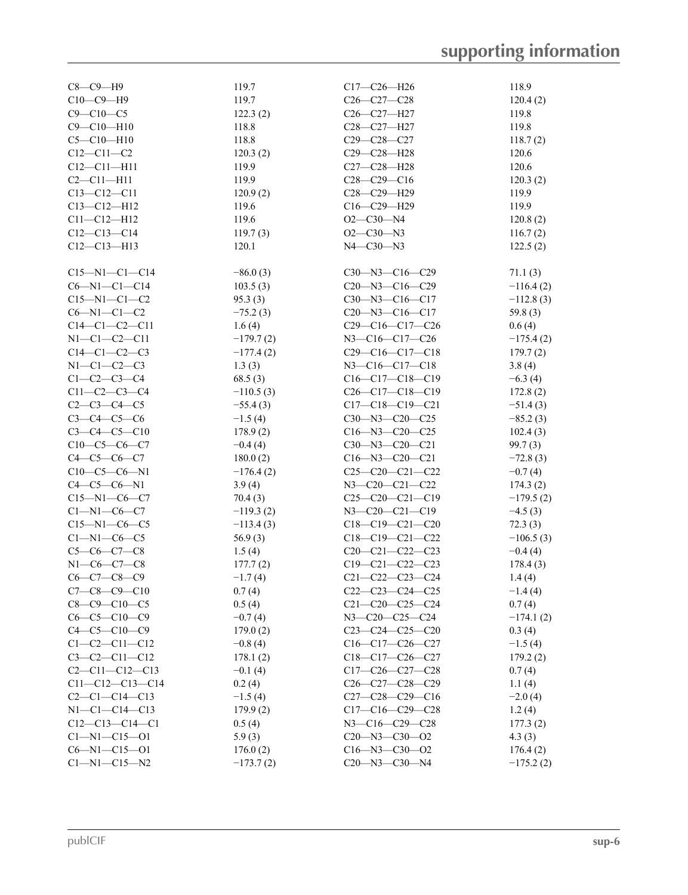| $C8-C9-H9$              | 119.7       | $C17-C26-H26$                                     | 118.9       |
|-------------------------|-------------|---------------------------------------------------|-------------|
| $C10-C9-H9$             | 119.7       | $C26 - C27 - C28$                                 | 120.4(2)    |
| $C9 - C10 - C5$         | 122.3(2)    | C <sub>26</sub> -C <sub>27</sub> -H <sub>27</sub> | 119.8       |
| $C9 - C10 - H10$        | 118.8       | C <sub>28</sub> -C <sub>27</sub> -H <sub>27</sub> | 119.8       |
| $C5 - C10 - H10$        | 118.8       | $C29 - C28 - C27$                                 | 118.7(2)    |
| $C12 - C11 - C2$        | 120.3(2)    | C29-C28-H28                                       | 120.6       |
| $C12 - C11 - H11$       | 119.9       | C27-C28-H28                                       | 120.6       |
| $C2 - C11 - H11$        | 119.9       | $C28-C29-C16$                                     | 120.3(2)    |
| $C13 - C12 - C11$       | 120.9(2)    | C28-C29-H29                                       | 119.9       |
| $C13 - C12 - H12$       | 119.6       | $C16 - C29 - H29$                                 | 119.9       |
| $C11 - C12 - H12$       | 119.6       | $O2 - C30 - N4$                                   | 120.8(2)    |
| $C12-C13-C14$           | 119.7(3)    | $O2-C30-N3$                                       | 116.7(2)    |
| $C12 - C13 - H13$       | 120.1       | $N4 - C30 - N3$                                   | 122.5(2)    |
|                         |             |                                                   |             |
| $C15 - N1 - C1 - C14$   | $-86.0(3)$  | $C30 - N3 - C16 - C29$                            | 71.1(3)     |
| $C6 - N1 - C1 - C14$    | 103.5(3)    | $C20 - N3 - C16 - C29$                            | $-116.4(2)$ |
| $C15 - N1 - C1 - C2$    | 95.3(3)     | $C30 - N3 - C16 - C17$                            | $-112.8(3)$ |
| $C6 - N1 - C1 - C2$     | $-75.2(3)$  | $C20 - N3 - C16 - C17$                            | 59.8 $(3)$  |
| $C14-C1-C2-C11$         | 1.6(4)      | $C29-C16-C17-C26$                                 | 0.6(4)      |
| $N1 - C1 - C2 - C11$    | $-179.7(2)$ | $N3 - C16 - C17 - C26$                            | $-175.4(2)$ |
| $C14-C1-C2-C3$          | $-177.4(2)$ | $C29-C16-C17-C18$                                 |             |
|                         |             |                                                   | 179.7(2)    |
| $N1-C1-C2-C3$           | 1.3(3)      | $N3 - C16 - C17 - C18$                            | 3.8(4)      |
| $C1 - C2 - C3 - C4$     | 68.5(3)     | $C16-C17-C18-C19$                                 | $-6.3(4)$   |
| $C11-C2-C3-C4$          | $-110.5(3)$ | $C26-C17-C18-C19$                                 | 172.8(2)    |
| $C2-C3-C4-C5$           | $-55.4(3)$  | $C17-C18-C19-C21$                                 | $-51.4(3)$  |
| $C3 - C4 - C5 - C6$     | $-1.5(4)$   | $C30 - N3 - C20 - C25$                            | $-85.2(3)$  |
| $C3 - C4 - C5 - C10$    | 178.9(2)    | $C16 - N3 - C20 - C25$                            | 102.4(3)    |
| $C10-C5-C6-C7$          | $-0.4(4)$   | $C30 - N3 - C20 - C21$                            | 99.7(3)     |
| $C4-C5-C6-C7$           | 180.0(2)    | $C16 - N3 - C20 - C21$                            | $-72.8(3)$  |
| $C10-C5-C6-N1$          | $-176.4(2)$ | $C25-C20-C21-C22$                                 | $-0.7(4)$   |
| $C4-C5-C6-N1$           | 3.9(4)      | $N3 - C20 - C21 - C22$                            | 174.3(2)    |
| $C15 - N1 - C6 - C7$    | 70.4(3)     | C25-C20-C21-C19                                   | $-179.5(2)$ |
| $Cl-M1-C6-C7$           | $-119.3(2)$ | $N3-C20-C21-C19$                                  | $-4.5(3)$   |
| $C15 - N1 - C6 - C5$    | $-113.4(3)$ | $C18-C19-C21-C20$                                 | 72.3(3)     |
| $Cl-M1-C6-C5$           | 56.9(3)     | $C18-C19-C21-C22$                                 | $-106.5(3)$ |
| $C5-C6-C7-C8$           | 1.5(4)      | $C20-C21-C22-C23$                                 | $-0.4(4)$   |
| $N1-C6-C7-C8$           | 177.7(2)    | $C19-C21-C22-C23$                                 | 178.4(3)    |
| $C6 - C7 - C8 - C9$     | $-1.7(4)$   | $C21 - C22 - C23 - C24$                           | 1.4(4)      |
| $C7-C8-C9-C10$          | 0.7(4)      | $C22-C23-C24-C25$                                 | $-1.4(4)$   |
| $C8 - C9 - C10 - C5$    | 0.5(4)      | $C21 - C20 - C25 - C24$                           | 0.7(4)      |
| $C6 - C5 - C10 - C9$    | $-0.7(4)$   | N3-C20-C25-C24                                    | $-174.1(2)$ |
| $C4 - C5 - C10 - C9$    | 179.0(2)    | C23-C24-C25-C20                                   | 0.3(4)      |
| $C1 - C2 - C11 - C12$   | $-0.8(4)$   | $C16-C17-C26-C27$                                 | $-1.5(4)$   |
| $C3 - C2 - C11 - C12$   | 178.1(2)    | $C18-C17-C26-C27$                                 | 179.2(2)    |
| $C2 - C11 - C12 - C13$  | $-0.1(4)$   | $C17-C26-C27-C28$                                 | 0.7(4)      |
| $C11 - C12 - C13 - C14$ | 0.2(4)      | C26-C27-C28-C29                                   | 1.1(4)      |
|                         |             | $C27-C28-C29-C16$                                 |             |
| $C2-C1-C14-C13$         | $-1.5(4)$   | $C17-C16-C29-C28$                                 | $-2.0(4)$   |
| $N1 - C1 - C14 - C13$   | 179.9(2)    |                                                   | 1.2(4)      |
| $C12-C13-C14-C1$        | 0.5(4)      | N3-C16-C29-C28                                    | 177.3(2)    |
| $Cl - N1 - Cl5 - O1$    | 5.9(3)      | $C20 - N3 - C30 - O2$                             | 4.3(3)      |
| $C6 - N1 - C15 - O1$    | 176.0(2)    | $C16 - N3 - C30 - O2$                             | 176.4(2)    |
| $Cl - N1 - Cl5 - N2$    | $-173.7(2)$ | $C20 - N3 - C30 - N4$                             | $-175.2(2)$ |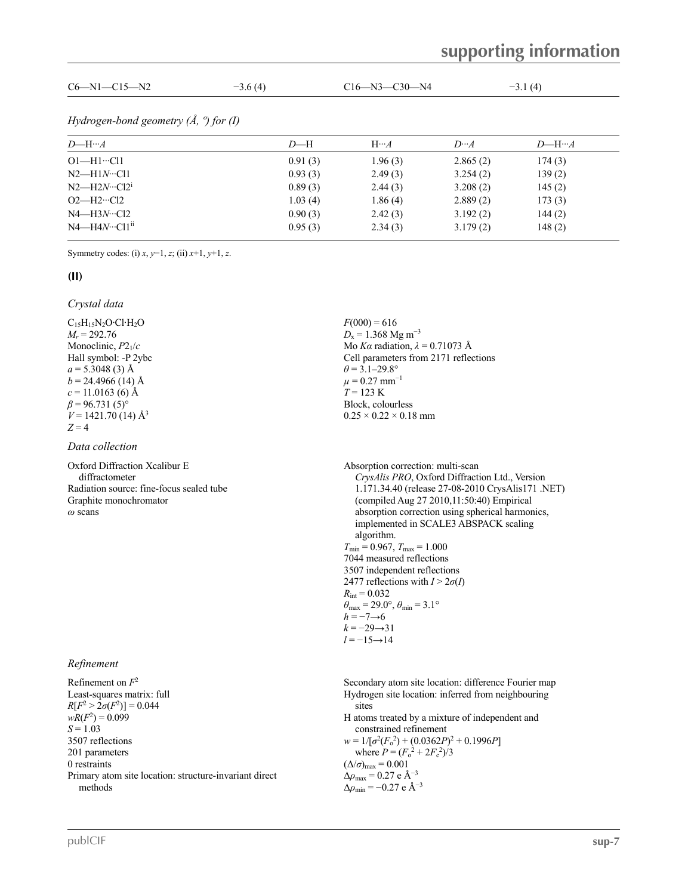| $C6 - N1 - C15 - N2$                         | $-3.6(4)$ |         | $C16 - N3 - C30 - N4$ |             | $-3.1(4)$   |
|----------------------------------------------|-----------|---------|-----------------------|-------------|-------------|
| Hydrogen-bond geometry $(A, \theta)$ for (I) |           |         |                       |             |             |
| $D$ —H… $A$                                  |           | $D-H$   | $H \cdot A$           | $D \cdot A$ | $D$ —H… $A$ |
| $O1 - H1 \cdot C11$                          |           | 0.91(3) | 1.96(3)               | 2.865(2)    | 174(3)      |
| $N2$ —H1 $N$ …Cl1                            |           | 0.93(3) | 2.49(3)               | 3.254(2)    | 139(2)      |
| $N2$ —H2 $N \cdot C12$ <sup>i</sup>          |           | 0.89(3) | 2.44(3)               | 3.208(2)    | 145(2)      |
| $O2$ —H2…Cl2                                 |           | 1.03(4) | 1.86(4)               | 2.889(2)    | 173(3)      |
| $N4 - H3N \cdot C12$                         |           | 0.90(3) | 2.42(3)               | 3.192(2)    | 144(2)      |
| $N4 - H4N \cdot C11$ <sup>ii</sup>           |           | 0.95(3) | 2.34(3)               | 3.179(2)    | 148(2)      |

Symmetry codes: (i) *x*, *y*−1, *z*; (ii) *x*+1, *y*+1, *z*.

#### **(II)**

#### *Crystal data*

 $C_{15}H_{15}N_2O \cdot Cl \cdot H_2O$ *M<sup>r</sup>* = 292.76 Monoclinic, *P*21/*c* Hall symbol: -P 2ybc  $a = 5.3048(3)$  Å  $b = 24.4966$  (14) Å  $c = 11.0163(6)$  Å  $\beta$  = 96.731 (5)<sup>o</sup>  $V = 1421.70(14)$  Å<sup>3</sup> 3  $Z = 4$ 

#### *Data collection*

Oxford Diffraction Xcalibur E diffractometer Radiation source: fine-focus sealed tube Graphite monochromator

## *Refinement*

Refinement on *F*  $2\overline{ }$ Least-squares matrix: full  $R[F^2 > 2\sigma(F^2)] = 0.044$  $wR(F^2) = 0.099$ *S* = 1.03 3507 reflections 201 parameters 0 restraints Primary atom site location: structure-invariant direct methods

 $F(000) = 616$  $D_x = 1.368$  Mg m<sup>-3</sup> Mo *Kα* radiation, *λ* = 0.71073 Å Cell parameters from 2171 reflections  $\theta$  = 3.1–29.8°  $\mu = 0.27$  mm<sup>-1</sup>  $T = 123 \text{ K}$ Block, colourless  $0.25 \times 0.22 \times 0.18$  mm

*Oxford Diffraction Xcalibur E*<br>
diffractometer<br>
Radiation source: fine-focus sealed tube<br>
Radiation source: fine-focus sealed tube<br> *CrysAlis PRO*, Oxford Diffraction Ltd., Version<br>
1.171.34.40 (release 27-08-2010 CrysAl 1.171.34.40 (release 27-08-2010 CrysAlis171 .NET) (compiled Aug 27 2010,11:50:40) Empirical absorption correction using spherical harmonics, implemented in SCALE3 ABSPACK scaling algorithm.  $T_{\text{min}} = 0.967, T_{\text{max}} = 1.000$ 7044 measured reflections 3507 independent reflections 2477 reflections with  $I > 2\sigma(I)$  $R_{\text{int}} = 0.032$  $\theta_{\text{max}} = 29.0^{\circ}, \theta_{\text{min}} = 3.1^{\circ}$  $h = -7 \rightarrow 6$  $k = -29 \rightarrow 31$ *l* = −15→14

> Secondary atom site location: difference Fourier map Hydrogen site location: inferred from neighbouring sites H atoms treated by a mixture of independent and constrained refinement  $w = 1/[\sigma^2 (F_0^2) + (0.0362P)^2 + 0.1996P]$

where  $P = (F_0^2 + 2F_c^2)/3$  $(\Delta/\sigma)_{\text{max}} = 0.001$  $\Delta\rho_{\rm max}$  = 0.27 e Å<sup>-3</sup>  $\Delta\rho_{\rm min} = -0.27 \text{ e } \text{Å}^{-3}$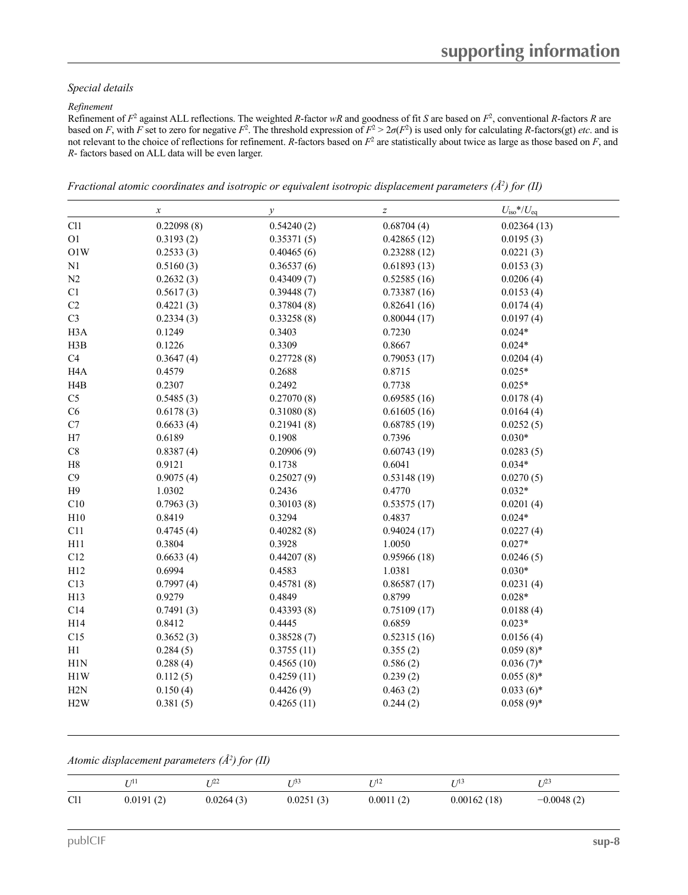#### *Special details*

#### *Refinement*

Refinement of  $F^2$  against ALL reflections. The weighted *R*-factor *wR* and goodness of fit *S* are based on  $F^2$ , conventional *R*-factors *R* are based on *F*, with *F* set to zero for negative  $F^2$ . The threshold expression of  $F^2 > 2\sigma(F^2)$  is used only for calculating *R*-factors(gt) *etc*. and is not relevant to the choice of reflections for refinement. *R*-factors based on  $F<sup>2</sup>$  are statistically about twice as large as those based on  $F$ , and *R*- factors based on ALL data will be even larger.

*Fractional atomic coordinates and isotropic or equivalent isotropic displacement parameters (Å <sup>2</sup>) for (II)*

|                  | $\boldsymbol{x}$ | $\mathcal{Y}$ | $\boldsymbol{Z}$ | $U_{\rm iso}*/U_{\rm eq}$ |
|------------------|------------------|---------------|------------------|---------------------------|
| Cl1              | 0.22098(8)       | 0.54240(2)    | 0.68704(4)       | 0.02364(13)               |
| O <sub>1</sub>   | 0.3193(2)        | 0.35371(5)    | 0.42865(12)      | 0.0195(3)                 |
| O1W              | 0.2533(3)        | 0.40465(6)    | 0.23288(12)      | 0.0221(3)                 |
| N1               | 0.5160(3)        | 0.36537(6)    | 0.61893(13)      | 0.0153(3)                 |
| N2               | 0.2632(3)        | 0.43409(7)    | 0.52585(16)      | 0.0206(4)                 |
| C1               | 0.5617(3)        | 0.39448(7)    | 0.73387(16)      | 0.0153(4)                 |
| $\rm C2$         | 0.4221(3)        | 0.37804(8)    | 0.82641(16)      | 0.0174(4)                 |
| C <sub>3</sub>   | 0.2334(3)        | 0.33258(8)    | 0.80044(17)      | 0.0197(4)                 |
| H <sub>3</sub> A | 0.1249           | 0.3403        | 0.7230           | $0.024*$                  |
| H3B              | 0.1226           | 0.3309        | 0.8667           | $0.024*$                  |
| C4               | 0.3647(4)        | 0.27728(8)    | 0.79053(17)      | 0.0204(4)                 |
| H <sub>4</sub> A | 0.4579           | 0.2688        | 0.8715           | $0.025*$                  |
| H <sub>4</sub> B | 0.2307           | 0.2492        | 0.7738           | $0.025*$                  |
| C <sub>5</sub>   | 0.5485(3)        | 0.27070(8)    | 0.69585(16)      | 0.0178(4)                 |
| C6               | 0.6178(3)        | 0.31080(8)    | 0.61605(16)      | 0.0164(4)                 |
| $\rm C7$         | 0.6633(4)        | 0.21941(8)    | 0.68785(19)      | 0.0252(5)                 |
| H7               | 0.6189           | 0.1908        | 0.7396           | $0.030*$                  |
| C8               | 0.8387(4)        | 0.20906(9)    | 0.60743(19)      | 0.0283(5)                 |
| H8               | 0.9121           | 0.1738        | 0.6041           | $0.034*$                  |
| C9               | 0.9075(4)        | 0.25027(9)    | 0.53148(19)      | 0.0270(5)                 |
| H9               | 1.0302           | 0.2436        | 0.4770           | $0.032*$                  |
| C10              | 0.7963(3)        | 0.30103(8)    | 0.53575(17)      | 0.0201(4)                 |
| H10              | 0.8419           | 0.3294        | 0.4837           | $0.024*$                  |
| C11              | 0.4745(4)        | 0.40282(8)    | 0.94024(17)      | 0.0227(4)                 |
| H11              | 0.3804           | 0.3928        | 1.0050           | $0.027*$                  |
| C12              | 0.6633(4)        | 0.44207(8)    | 0.95966(18)      | 0.0246(5)                 |
| H12              | 0.6994           | 0.4583        | 1.0381           | $0.030*$                  |
| C13              | 0.7997(4)        | 0.45781(8)    | 0.86587(17)      | 0.0231(4)                 |
| H13              | 0.9279           | 0.4849        | 0.8799           | $0.028*$                  |
| C14              | 0.7491(3)        | 0.43393(8)    | 0.75109(17)      | 0.0188(4)                 |
| H14              | 0.8412           | 0.4445        | 0.6859           | $0.023*$                  |
| C15              | 0.3652(3)        | 0.38528(7)    | 0.52315(16)      | 0.0156(4)                 |
| H1               | 0.284(5)         | 0.3755(11)    | 0.355(2)         | $0.059(8)$ *              |
| H1N              | 0.288(4)         | 0.4565(10)    | 0.586(2)         | $0.036(7)$ *              |
| H1W              | 0.112(5)         | 0.4259(11)    | 0.239(2)         | $0.055(8)$ *              |
| H <sub>2</sub> N | 0.150(4)         | 0.4426(9)     | 0.463(2)         | $0.033(6)$ *              |
| H2W              | 0.381(5)         | 0.4265(11)    | 0.244(2)         | $0.058(9)$ *              |

#### *Atomic displacement parameters (Å <sup>2</sup>) for (II)*

|                 | $\tau$ <sub><math>\pi</math></sub> | T122      | - 153     | T 712     | T13         | $+12$        |
|-----------------|------------------------------------|-----------|-----------|-----------|-------------|--------------|
| Cl <sub>1</sub> | 0.0191(2)                          | 0.0264(3) | 0.0251(3) | 0.0011(2) | 0.00162(18) | $-0.0048(2)$ |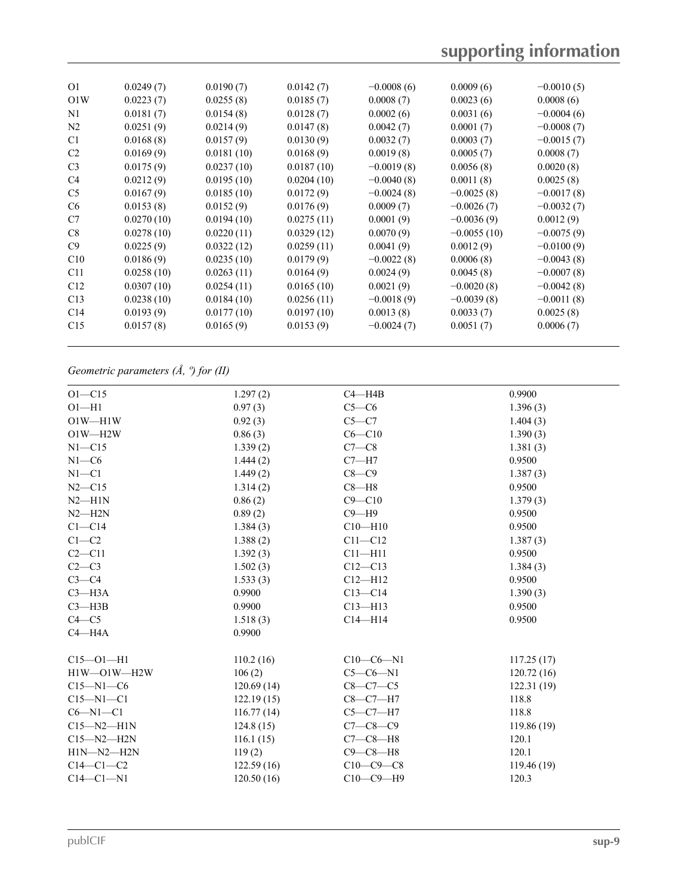| O1             | 0.0249(7)  | 0.0190(7)  | 0.0142(7)  | $-0.0008(6)$ | 0.0009(6)     | $-0.0010(5)$ |  |
|----------------|------------|------------|------------|--------------|---------------|--------------|--|
| O1W            | 0.0223(7)  | 0.0255(8)  | 0.0185(7)  | 0.0008(7)    | 0.0023(6)     | 0.0008(6)    |  |
| N1             | 0.0181(7)  | 0.0154(8)  | 0.0128(7)  | 0.0002(6)    | 0.0031(6)     | $-0.0004(6)$ |  |
| N <sub>2</sub> | 0.0251(9)  | 0.0214(9)  | 0.0147(8)  | 0.0042(7)    | 0.0001(7)     | $-0.0008(7)$ |  |
| C <sub>1</sub> | 0.0168(8)  | 0.0157(9)  | 0.0130(9)  | 0.0032(7)    | 0.0003(7)     | $-0.0015(7)$ |  |
| C2             | 0.0169(9)  | 0.0181(10) | 0.0168(9)  | 0.0019(8)    | 0.0005(7)     | 0.0008(7)    |  |
| C <sub>3</sub> | 0.0175(9)  | 0.0237(10) | 0.0187(10) | $-0.0019(8)$ | 0.0056(8)     | 0.0020(8)    |  |
| C4             | 0.0212(9)  | 0.0195(10) | 0.0204(10) | $-0.0040(8)$ | 0.0011(8)     | 0.0025(8)    |  |
| C5             | 0.0167(9)  | 0.0185(10) | 0.0172(9)  | $-0.0024(8)$ | $-0.0025(8)$  | $-0.0017(8)$ |  |
| C <sub>6</sub> | 0.0153(8)  | 0.0152(9)  | 0.0176(9)  | 0.0009(7)    | $-0.0026(7)$  | $-0.0032(7)$ |  |
| C7             | 0.0270(10) | 0.0194(10) | 0.0275(11) | 0.0001(9)    | $-0.0036(9)$  | 0.0012(9)    |  |
| C8             | 0.0278(10) | 0.0220(11) | 0.0329(12) | 0.0070(9)    | $-0.0055(10)$ | $-0.0075(9)$ |  |
| C9             | 0.0225(9)  | 0.0322(12) | 0.0259(11) | 0.0041(9)    | 0.0012(9)     | $-0.0100(9)$ |  |
| C10            | 0.0186(9)  | 0.0235(10) | 0.0179(9)  | $-0.0022(8)$ | 0.0006(8)     | $-0.0043(8)$ |  |
| C11            | 0.0258(10) | 0.0263(11) | 0.0164(9)  | 0.0024(9)    | 0.0045(8)     | $-0.0007(8)$ |  |
| C12            | 0.0307(10) | 0.0254(11) | 0.0165(10) | 0.0021(9)    | $-0.0020(8)$  | $-0.0042(8)$ |  |
| C13            | 0.0238(10) | 0.0184(10) | 0.0256(11) | $-0.0018(9)$ | $-0.0039(8)$  | $-0.0011(8)$ |  |
| C14            | 0.0193(9)  | 0.0177(10) | 0.0197(10) | 0.0013(8)    | 0.0033(7)     | 0.0025(8)    |  |
| C15            | 0.0157(8)  | 0.0165(9)  | 0.0153(9)  | $-0.0024(7)$ | 0.0051(7)     | 0.0006(7)    |  |
|                |            |            |            |              |               |              |  |

## *Geometric parameters (Å, º) for (II)*

| $O1 - C15$       | 1.297(2)   | $C4 - H4B$     | 0.9900     |
|------------------|------------|----------------|------------|
| $O1 - H1$        | 0.97(3)    | $C5-C6$        | 1.396(3)   |
| $O1W - H1W$      | 0.92(3)    | $C5-C7$        | 1.404(3)   |
| $O1W - H2W$      | 0.86(3)    | $C6 - C10$     | 1.390(3)   |
| NI—C15           | 1.339(2)   | $C7-C8$        | 1.381(3)   |
| $N1-C6$          | 1.444(2)   | $C7 - H7$      | 0.9500     |
| $N1 - C1$        | 1.449(2)   | $C8 - C9$      | 1.387(3)   |
| $N2 - C15$       | 1.314(2)   | $C8 - H8$      | 0.9500     |
| $N2 - H1N$       | 0.86(2)    | $C9 - C10$     | 1.379(3)   |
| $N2 - H2N$       | 0.89(2)    | $C9 - H9$      | 0.9500     |
| $C1 - C14$       | 1.384(3)   | $C10$ —H $10$  | 0.9500     |
| $C1-C2$          | 1.388(2)   | $C11 - C12$    | 1.387(3)   |
| $C2 - C11$       | 1.392(3)   | $C11 - H11$    | 0.9500     |
| $C2-C3$          | 1.502(3)   | $C12 - C13$    | 1.384(3)   |
| $C3-C4$          | 1.533(3)   | $C12 - H12$    | 0.9500     |
| $C3$ —H3A        | 0.9900     | $C13 - C14$    | 1.390(3)   |
| $C3$ —H3B        | 0.9900     | $C13 - H13$    | 0.9500     |
| $C4 - C5$        | 1.518(3)   | $C14 - H14$    | 0.9500     |
| $C4 - H4A$       | 0.9900     |                |            |
| $C15 - O1 - H1$  | 110.2(16)  | $C10-C6-N1$    | 117.25(17) |
| H1W-O1W-H2W      | 106(2)     | $C5-C6-N1$     | 120.72(16) |
| $C15 - N1 - C6$  | 120.69(14) | $C8-C7-C5$     | 122.31(19) |
| $C15 - N1 - C1$  | 122.19(15) | $C8-C7-H7$     | 118.8      |
| $C6 - N1 - C1$   | 116.77(14) | $C5-C7-H7$     | 118.8      |
| $C15 - N2 - H1N$ | 124.8(15)  | $C7 - C8 - C9$ | 119.86(19) |
| $C15 - N2 - H2N$ | 116.1(15)  | $C7-C8-H8$     | 120.1      |
| $H1N-M2-H2N$     | 119(2)     | $C9 - C8 - H8$ | 120.1      |
| $C14-C1-C2$      | 122.59(16) | $C10-C9-C8$    | 119.46(19) |
| $C14-C1-N1$      | 120.50(16) | $C10-C9-H9$    | 120.3      |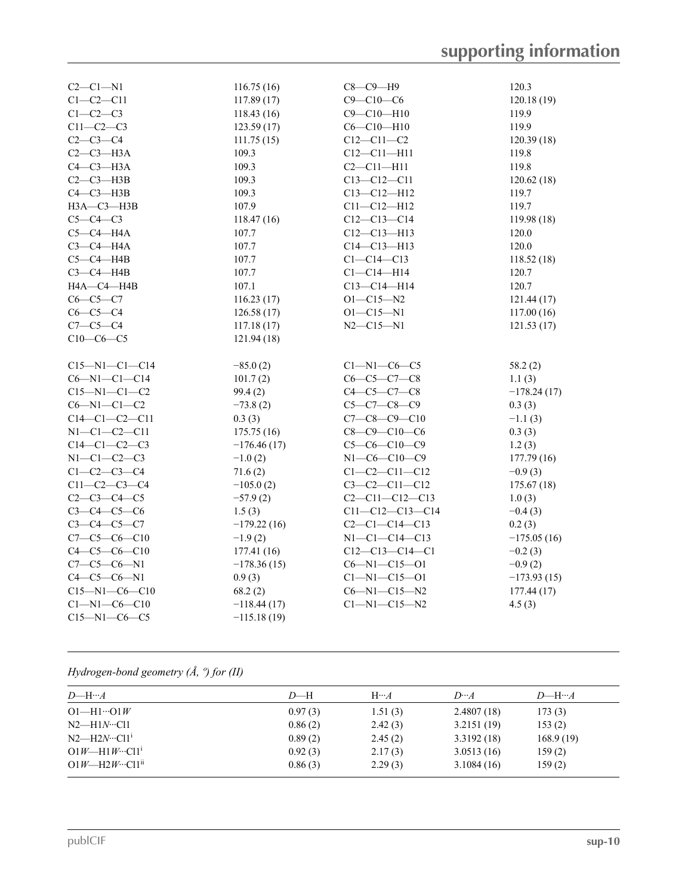| $C2-C1-N1$            | 116.75(16)    | $C8-C9-H9$              | 120.3         |
|-----------------------|---------------|-------------------------|---------------|
| $C1-C2-C11$           | 117.89(17)    | $C9 - C10 - C6$         | 120.18(19)    |
| $C1-C2-C3$            | 118.43 (16)   | $C9 - C10 - H10$        | 119.9         |
| $C11-C2-C3$           | 123.59(17)    | $C6 - C10 - H10$        | 119.9         |
| $C2-C3-C4$            | 111.75(15)    | $C12 - C11 - C2$        | 120.39(18)    |
| $C2-C3-H3A$           | 109.3         | $C12 - C11 - H11$       | 119.8         |
| $C4-C3-H3A$           | 109.3         | $C2 - C11 - H11$        | 119.8         |
| $C2-C3$ -H3B          | 109.3         | $C13 - C12 - C11$       | 120.62(18)    |
| $C4-C3-H3B$           | 109.3         | $C13 - C12 - H12$       | 119.7         |
| $H3A - C3 - H3B$      | 107.9         | $C11 - C12 - H12$       | 119.7         |
| $C5-C4-C3$            | 118.47(16)    | $C12 - C13 - C14$       | 119.98(18)    |
| $C5-C4$ $-H4A$        | 107.7         | $C12 - C13 - H13$       | 120.0         |
| $C3-C4-H4A$           | 107.7         | $C14 - C13 - H13$       | 120.0         |
| $C5-C4$ -H4B          | 107.7         | $Cl - Cl4 - Cl3$        | 118.52(18)    |
| $C3-C4-H4B$           | 107.7         | $Cl - Cl4 - H14$        | 120.7         |
| H4A-C4-H4B            | 107.1         | $C13 - C14 - H14$       | 120.7         |
| $C6-C5-C7$            | 116.23(17)    | $O1 - C15 - N2$         | 121.44(17)    |
| $C6-C5-C4$            | 126.58(17)    | $O1 - C15 - N1$         | 117.00(16)    |
| $C7-C5-C4$            | 117.18(17)    | $N2 - C15 - N1$         | 121.53(17)    |
| $C10-C6-C5$           | 121.94(18)    |                         |               |
|                       |               |                         |               |
| $C15 - N1 - C1 - C14$ | $-85.0(2)$    | $Cl-M1-C6-C5$           | 58.2(2)       |
| $C6 - N1 - C1 - C14$  | 101.7(2)      | $C6 - C5 - C7 - C8$     | 1.1(3)        |
| $C15 - N1 - C1 - C2$  | 99.4(2)       | $C4 - C5 - C7 - C8$     | $-178.24(17)$ |
| $C6 - N1 - C1 - C2$   | $-73.8(2)$    | $C5 - C7 - C8 - C9$     | 0.3(3)        |
| $C14-C1-C2-C11$       | 0.3(3)        | $C7-C8-C9-C10$          | $-1.1(3)$     |
| $N1 - C1 - C2 - C11$  | 175.75(16)    | $C8 - C9 - C10 - C6$    | 0.3(3)        |
| $C14-C1-C2-C3$        | $-176.46(17)$ | $C5-C6-C10-C9$          | 1.2(3)        |
| $N1-C1-C2-C3$         | $-1.0(2)$     | $N1-C6-C10-C9$          | 177.79(16)    |
| $C1 - C2 - C3 - C4$   | 71.6(2)       | $C1 - C2 - C11 - C12$   | $-0.9(3)$     |
| $C11 - C2 - C3 - C4$  | $-105.0(2)$   | $C3-C2-C11-C12$         | 175.67(18)    |
| $C2 - C3 - C4 - C5$   | $-57.9(2)$    | $C2 - C11 - C12 - C13$  | 1.0(3)        |
| $C3 - C4 - C5 - C6$   | 1.5(3)        | $C11 - C12 - C13 - C14$ | $-0.4(3)$     |
| $C3 - C4 - C5 - C7$   | $-179.22(16)$ | $C2 - C1 - C14 - C13$   | 0.2(3)        |
| $C7-C5-C6-C10$        | $-1.9(2)$     | $N1 - C1 - C14 - C13$   | $-175.05(16)$ |
| $C4 - C5 - C6 - C10$  | 177.41(16)    | $C12-C13-C14-C1$        | $-0.2(3)$     |
| $C7 - C5 - C6 - N1$   | $-178.36(15)$ | $C6 - N1 - C15 - O1$    | $-0.9(2)$     |
| $C4-C5-C6-N1$         | 0.9(3)        | $Cl - N1 - Cl5 - O1$    | $-173.93(15)$ |
| $C15 - N1 - C6 - C10$ | 68.2(2)       | $C6 - N1 - C15 - N2$    | 177.44(17)    |
| $Cl - N1 - C6 - C10$  | $-118.44(17)$ | $Cl-M1-C15-N2$          | 4.5(3)        |
| $C15 - N1 - C6 - C5$  | $-115.18(19)$ |                         |               |

# *Hydrogen-bond geometry (Å, º) for (II)*

| $D$ —H… $A$                    | $D$ —H  | $H \cdots A$ | $D \cdot A$ | $D$ —H… $A$ |
|--------------------------------|---------|--------------|-------------|-------------|
| $O1$ —H $1 \cdot O1W$          | 0.97(3) | 1.51(3)      | 2.4807(18)  | 173(3)      |
| $N2$ —H1 $N$ …Cl1              | 0.86(2) | 2.42(3)      | 3.2151(19)  | 153(2)      |
| $N2$ —H2 $N$ …Cl1 <sup>1</sup> | 0.89(2) | 2.45(2)      | 3.3192(18)  | 168.9(19)   |
| $O1W$ —H1W…Cl1 <sup>1</sup>    | 0.92(3) | 2.17(3)      | 3.0513(16)  | 159(2)      |
| $O1W$ —H2W…Cl1 <sup>ii</sup>   | 0.86(3) | 2.29(3)      | 3.1084(16)  | 159(2)      |
|                                |         |              |             |             |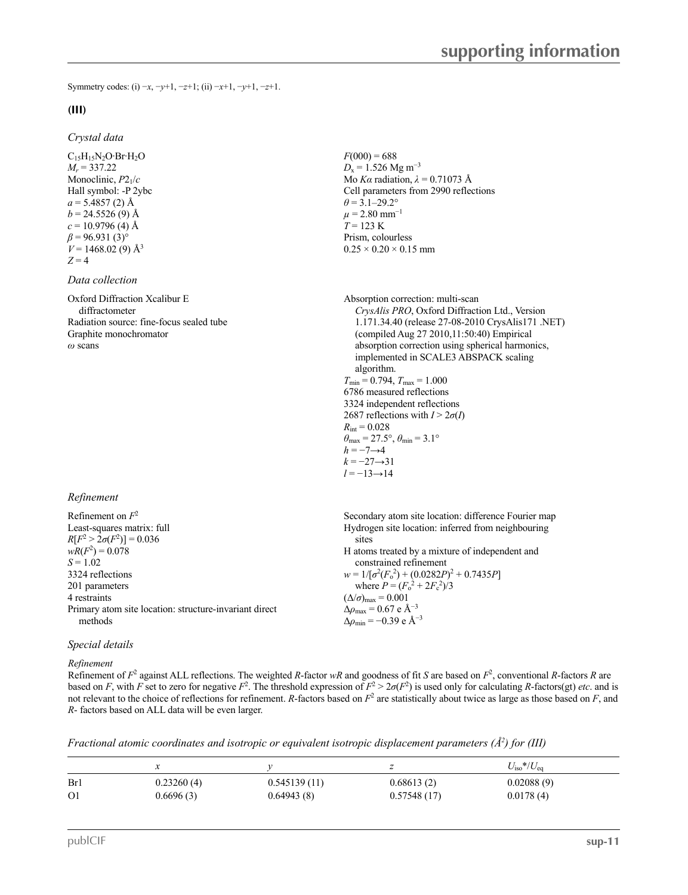Symmetry codes: (i) −*x*, −*y*+1, −*z*+1; (ii) −*x*+1, −*y*+1, −*z*+1.

#### **(III)**

#### *Crystal data*

 $C_{15}H_{15}N_2O·Br·H_2O$ *M<sup>r</sup>* = 337.22 Monoclinic, *P*21/*c* Hall symbol: -P 2ybc  $a = 5.4857(2)$  Å  $b = 24.5526(9)$  Å  $c = 10.9796$  (4) Å  $\beta$  = 96.931 (3)<sup>°</sup>  $V = 1468.02(9)$  Å<sup>3</sup> 3  $Z = 4$ 

#### *Data collection*

Oxford Diffraction Xcalibur E diffractometer Radiation source: fine-focus sealed tube Graphite monochromator

#### *Refinement*

| Refinement on $F^2$<br>Least-squares matrix: full      | Secondary atom site location: difference Fourier map<br>Hydrogen site location: inferred from neighbouring |
|--------------------------------------------------------|------------------------------------------------------------------------------------------------------------|
| $R[F^2 > 2\sigma(F^2)] = 0.036$                        | sites                                                                                                      |
| $wR(F^2) = 0.078$                                      | H atoms treated by a mixture of independent and                                                            |
| $S = 1.02$<br>3324 reflections                         | constrained refinement<br>$w = 1/[\sigma^2(F_0^2) + (0.0282P)^2 + 0.7435P]$                                |
| 201 parameters                                         | where $P = (F_0^2 + 2F_c^2)/3$                                                                             |
| 4 restraints                                           | $(\Delta/\sigma)_{\text{max}} = 0.001$                                                                     |
| Primary atom site location: structure-invariant direct | $\Delta\rho_{\text{max}} = 0.67 \text{ e A}^{-3}$                                                          |
| methods                                                | $\Delta\rho_{\rm min} = -0.39$ e $\rm \AA^{-3}$                                                            |

#### *Special details*

*Refinement*

Refinement of  $F^2$  against ALL reflections. The weighted *R*-factor *wR* and goodness of fit *S* are based on  $F^2$ , conventional *R*-factors *R* are based on *F*, with *F* set to zero for negative  $F^2$ . The threshold expression of  $F^2 > 2\sigma(F^2)$  is used only for calculating *R*-factors(gt) *etc*. and is not relevant to the choice of reflections for refinement. *R*-factors based on  $F<sup>2</sup>$  are statistically about twice as large as those based on  $F$ , and *R*- factors based on ALL data will be even larger.

| Fractional atomic coordinates and isotropic or equivalent isotropic displacement parameters ( $\AA^2$ ) for (III) |  |  |  |
|-------------------------------------------------------------------------------------------------------------------|--|--|--|
|                                                                                                                   |  |  |  |

|                | ∼          |              |             | $U_{\rm iso}*/U_{\rm eq}$ |  |
|----------------|------------|--------------|-------------|---------------------------|--|
| Br1            | 0.23260(4) | 0.545139(11) | 0.68613(2)  | 0.02088(9)                |  |
| O <sub>1</sub> | 0.6696(3)  | 0.64943(8)   | 0.57548(17) | 0.0178(4)                 |  |

 $F(000) = 688$ *D*<sub>x</sub> = 1.526 Mg m<sup>-3</sup> Mo *Kα* radiation, *λ* = 0.71073 Å Cell parameters from 2990 reflections  $\theta$  = 3.1–29.2°  $\mu$  = 2.80 mm<sup>-1</sup>  $T = 123 \text{ K}$ Prism, colourless  $0.25 \times 0.20 \times 0.15$  mm

*Oxford Diffraction Xcalibur E*<br>
diffractometer<br>
Radiation source: fine-focus sealed tube<br>
Radiation source: fine-focus sealed tube<br> *CrysAlis PRO*, Oxford Diffraction Ltd., Version<br>
1.171.34.40 (release 27-08-2010 CrysAl 1.171.34.40 (release 27-08-2010 CrysAlis171 .NET) (compiled Aug 27 2010,11:50:40) Empirical absorption correction using spherical harmonics, implemented in SCALE3 ABSPACK scaling algorithm.  $T_{\text{min}} = 0.794, T_{\text{max}} = 1.000$ 6786 measured reflections 3324 independent reflections 2687 reflections with  $I > 2\sigma(I)$  $R_{\text{int}} = 0.028$  $\theta_{\text{max}} = 27.5^{\circ}, \theta_{\text{min}} = 3.1^{\circ}$  $h = -7 \rightarrow 4$ *k* = −27→31 *l* = −13→14

> Secondary atom site location: difference Fourier map Hydrogen site location: inferred from neighbouring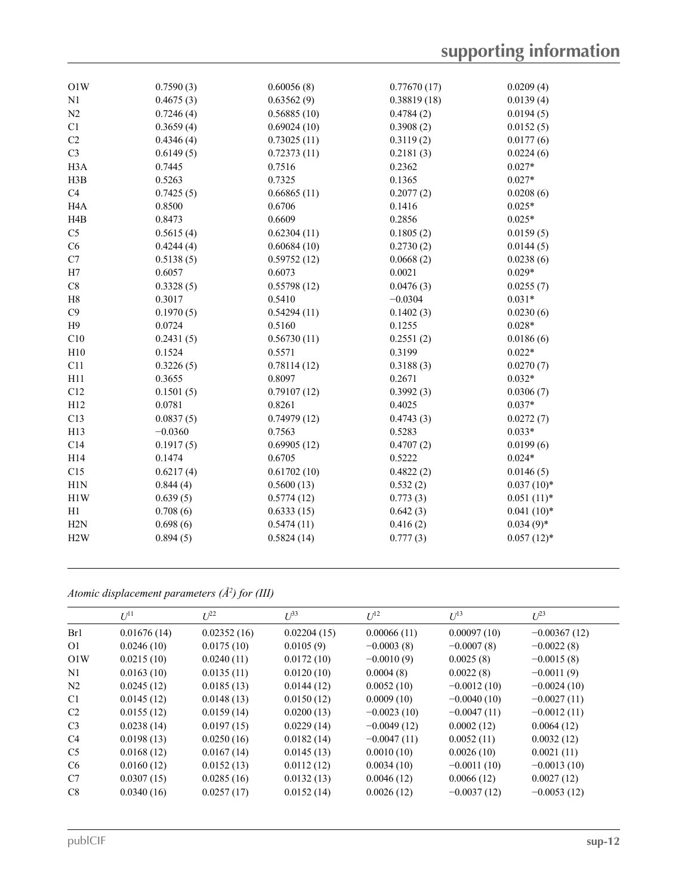| O1W              | 0.7590(3) | 0.60056(8)  | 0.77670(17) | 0.0209(4)    |
|------------------|-----------|-------------|-------------|--------------|
| N1               | 0.4675(3) | 0.63562(9)  | 0.38819(18) | 0.0139(4)    |
| N <sub>2</sub>   | 0.7246(4) | 0.56885(10) | 0.4784(2)   | 0.0194(5)    |
| C1               | 0.3659(4) | 0.69024(10) | 0.3908(2)   | 0.0152(5)    |
| C2               | 0.4346(4) | 0.73025(11) | 0.3119(2)   | 0.0177(6)    |
| C <sub>3</sub>   | 0.6149(5) | 0.72373(11) | 0.2181(3)   | 0.0224(6)    |
| H <sub>3</sub> A | 0.7445    | 0.7516      | 0.2362      | $0.027*$     |
| H3B              | 0.5263    | 0.7325      | 0.1365      | $0.027*$     |
| C4               | 0.7425(5) | 0.66865(11) | 0.2077(2)   | 0.0208(6)    |
| H <sub>4</sub> A | 0.8500    | 0.6706      | 0.1416      | $0.025*$     |
| H <sub>4</sub> B | 0.8473    | 0.6609      | 0.2856      | $0.025*$     |
| $\rm{C}5$        | 0.5615(4) | 0.62304(11) | 0.1805(2)   | 0.0159(5)    |
| ${\rm C6}$       | 0.4244(4) | 0.60684(10) | 0.2730(2)   | 0.0144(5)    |
| C7               | 0.5138(5) | 0.59752(12) | 0.0668(2)   | 0.0238(6)    |
| H7               | 0.6057    | 0.6073      | 0.0021      | $0.029*$     |
| $\mbox{C}8$      | 0.3328(5) | 0.55798(12) | 0.0476(3)   | 0.0255(7)    |
| $\rm H8$         | 0.3017    | 0.5410      | $-0.0304$   | $0.031*$     |
| $\rm{C}9$        | 0.1970(5) | 0.54294(11) | 0.1402(3)   | 0.0230(6)    |
| H9               | 0.0724    | 0.5160      | 0.1255      | $0.028*$     |
| C10              | 0.2431(5) | 0.56730(11) | 0.2551(2)   | 0.0186(6)    |
| H10              | 0.1524    | 0.5571      | 0.3199      | $0.022*$     |
| C11              | 0.3226(5) | 0.78114(12) | 0.3188(3)   | 0.0270(7)    |
| H11              | 0.3655    | 0.8097      | 0.2671      | $0.032*$     |
| C12              | 0.1501(5) | 0.79107(12) | 0.3992(3)   | 0.0306(7)    |
| H12              | 0.0781    | 0.8261      | 0.4025      | $0.037*$     |
| C13              | 0.0837(5) | 0.74979(12) | 0.4743(3)   | 0.0272(7)    |
| H13              | $-0.0360$ | 0.7563      | 0.5283      | $0.033*$     |
| C14              | 0.1917(5) | 0.69905(12) | 0.4707(2)   | 0.0199(6)    |
| H14              | 0.1474    | 0.6705      | 0.5222      | $0.024*$     |
| C15              | 0.6217(4) | 0.61702(10) | 0.4822(2)   | 0.0146(5)    |
| H1N              | 0.844(4)  | 0.5600(13)  | 0.532(2)    | $0.037(10)*$ |
| H <sub>1</sub> W | 0.639(5)  | 0.5774(12)  | 0.773(3)    | $0.051(11)*$ |
| H1               | 0.708(6)  | 0.6333(15)  | 0.642(3)    | $0.041(10)*$ |
| H2N              | 0.698(6)  | 0.5474(11)  | 0.416(2)    | $0.034(9)*$  |
| H2W              | 0.894(5)  | 0.5824(14)  | 0.777(3)    | $0.057(12)*$ |
|                  |           |             |             |              |

*Atomic displacement parameters (Å <sup>2</sup>) for (III)*

|                | $U^{11}$    | $L^{22}$    | $U^{33}$    | $U^{12}$      | $U^{13}$      | $U^{23}$       |
|----------------|-------------|-------------|-------------|---------------|---------------|----------------|
| Br1            | 0.01676(14) | 0.02352(16) | 0.02204(15) | 0.00066(11)   | 0.00097(10)   | $-0.00367(12)$ |
| O <sub>1</sub> | 0.0246(10)  | 0.0175(10)  | 0.0105(9)   | $-0.0003(8)$  | $-0.0007(8)$  | $-0.0022(8)$   |
| O1W            | 0.0215(10)  | 0.0240(11)  | 0.0172(10)  | $-0.0010(9)$  | 0.0025(8)     | $-0.0015(8)$   |
| N1             | 0.0163(10)  | 0.0135(11)  | 0.0120(10)  | 0.0004(8)     | 0.0022(8)     | $-0.0011(9)$   |
| N <sub>2</sub> | 0.0245(12)  | 0.0185(13)  | 0.0144(12)  | 0.0052(10)    | $-0.0012(10)$ | $-0.0024(10)$  |
| C <sub>1</sub> | 0.0145(12)  | 0.0148(13)  | 0.0150(12)  | 0.0009(10)    | $-0.0040(10)$ | $-0.0027(11)$  |
| C2             | 0.0155(12)  | 0.0159(14)  | 0.0200(13)  | $-0.0023(10)$ | $-0.0047(11)$ | $-0.0012(11)$  |
| C <sub>3</sub> | 0.0238(14)  | 0.0197(15)  | 0.0229(14)  | $-0.0049(12)$ | 0.0002(12)    | 0.0064(12)     |
| C <sub>4</sub> | 0.0198(13)  | 0.0250(16)  | 0.0182(14)  | $-0.0047(11)$ | 0.0052(11)    | 0.0032(12)     |
| C <sub>5</sub> | 0.0168(12)  | 0.0167(14)  | 0.0145(13)  | 0.0010(10)    | 0.0026(10)    | 0.0021(11)     |
| C <sub>6</sub> | 0.0160(12)  | 0.0152(13)  | 0.0112(12)  | 0.0034(10)    | $-0.0011(10)$ | $-0.0013(10)$  |
| C7             | 0.0307(15)  | 0.0285(16)  | 0.0132(13)  | 0.0046(12)    | 0.0066(12)    | 0.0027(12)     |
| C8             | 0.0340(16)  | 0.0257(17)  | 0.0152(14)  | 0.0026(12)    | $-0.0037(12)$ | $-0.0053(12)$  |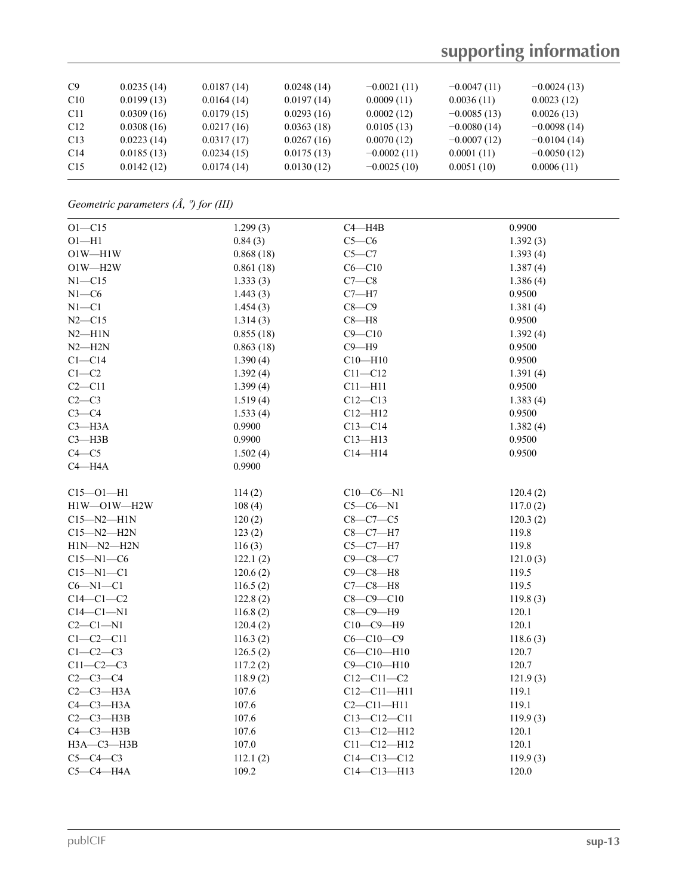# **supporting information**

*Geometric parameters (Å, º) for (III)*

| $O1 - C15$           | 1.299(3)  | $C4 - H4B$        | 0.9900   |
|----------------------|-----------|-------------------|----------|
| $O1 - H1$            | 0.84(3)   | $C5-C6$           | 1.392(3) |
| $O1W - H1W$          | 0.868(18) | $C5-C7$           | 1.393(4) |
| $O1W - H2W$          | 0.861(18) | $C6 - C10$        | 1.387(4) |
| $N1 - C15$           | 1.333(3)  | $C7-C8$           | 1.386(4) |
| $N1-C6$              | 1.443(3)  | $C7 - H7$         | 0.9500   |
| $N1 - C1$            | 1.454(3)  | $C8-C9$           | 1.381(4) |
| $N2 - C15$           | 1.314(3)  | $C8 - H8$         | 0.9500   |
| $N2 - H1N$           | 0.855(18) | $C9 - C10$        | 1.392(4) |
| $N2 - H2N$           | 0.863(18) | $C9 - H9$         | 0.9500   |
| $C1 - C14$           | 1.390(4)  | $C10$ —H $10$     | 0.9500   |
| $C1-C2$              | 1.392(4)  | $C11 - C12$       | 1.391(4) |
| $C2 - C11$           | 1.399(4)  | $C11$ —H $11$     | 0.9500   |
| $C2-C3$              | 1.519(4)  | $C12 - C13$       | 1.383(4) |
| $C3-C4$              | 1.533(4)  | $C12 - H12$       | 0.9500   |
| $C3 - H3A$           | 0.9900    | $C13 - C14$       | 1.382(4) |
| $C3$ —H3B            | 0.9900    | $C13 - H13$       | 0.9500   |
| $C4 - C5$            | 1.502(4)  | $C14 - H14$       | 0.9500   |
| $C4 - H4A$           | 0.9900    |                   |          |
|                      |           |                   |          |
| $C15 - O1 - H1$      | 114(2)    | $C10-C6-N1$       | 120.4(2) |
| $H1W$ $-$ O1W $-H2W$ | 108(4)    | $C5-C6-N1$        | 117.0(2) |
| $C15 - N2 - H1N$     | 120(2)    | $C8-C7-C5$        | 120.3(2) |
| $C15 - N2 - H2N$     | 123(2)    | $C8-C7-H7$        | 119.8    |
| $H1N-M2-H2N$         | 116(3)    | $C5-C7-H7$        | 119.8    |
| $C15 - N1 - C6$      | 122.1(2)  | $C9 - C8 - C7$    | 121.0(3) |
| $C15 - N1 - C1$      | 120.6(2)  | $C9-C8-H8$        | 119.5    |
| $C6 - N1 - C1$       | 116.5(2)  | $C7-C8-H8$        | 119.5    |
| $C14-C1-C2$          | 122.8(2)  | $C8 - C9 - C10$   | 119.8(3) |
| $C14-C1-N1$          | 116.8(2)  | $C8-C9-H9$        | 120.1    |
| $C2-C1-N1$           | 120.4(2)  | $C10-C9 - H9$     | 120.1    |
| $C1-C2-C11$          | 116.3(2)  | $C6 - C10 - C9$   | 118.6(3) |
| $C1-C2-C3$           | 126.5(2)  | $C6 - C10 - H10$  | 120.7    |
| $C11-C2-C3$          | 117.2(2)  | $C9 - C10 - H10$  | 120.7    |
| $C2-C3-C4$           | 118.9(2)  | $C12 - C11 - C2$  | 121.9(3) |
| $C2-C3-H3A$          | 107.6     | $C12 - C11 - H11$ | 119.1    |
| $C4-C3-H3A$          | 107.6     | $C2 - C11 - H11$  | 119.1    |
| $C2-C3-H3B$          | 107.6     | $C13 - C12 - C11$ | 119.9(3) |
| $C4 - C3 - H3B$      | 107.6     | C13-C12-H12       | 120.1    |
| НЗА-СЗ-НЗВ           | 107.0     | $C11 - C12 - H12$ | 120.1    |
| $C5-C4-C3$           | 112.1(2)  | $C14 - C13 - C12$ | 119.9(3) |
| $C5-C4$ $-$ H4A      | 109.2     | $C14 - C13 - H13$ | 120.0    |